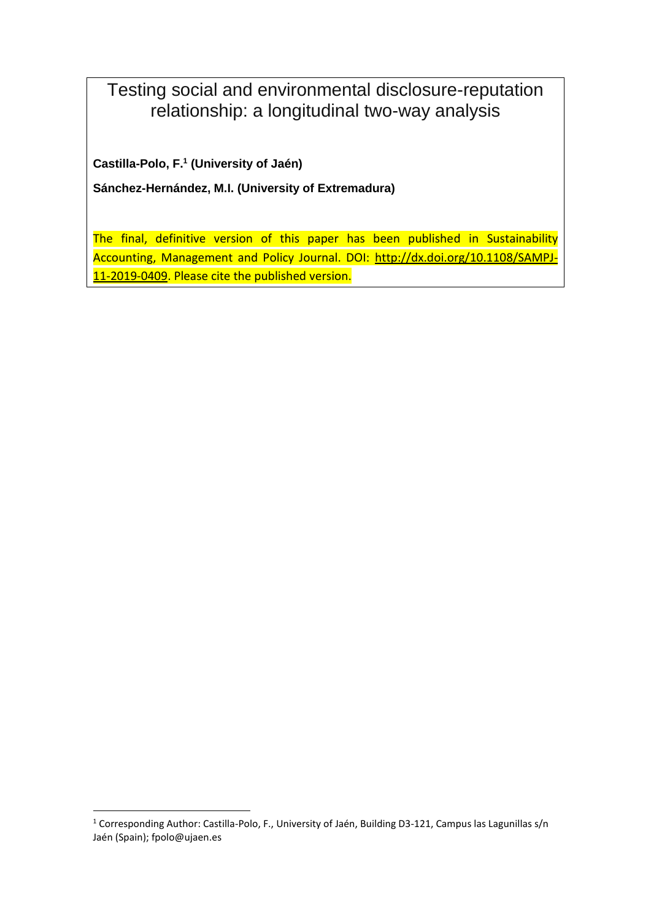Testing social and environmental disclosure-reputation relationship: a longitudinal two-way analysis

**Castilla-Polo, F.<sup>1</sup> (University of Jaén)**

**Sánchez-Hernández, M.I. (University of Extremadura)**

The final, definitive version of this paper has been published in Sustainability Accounting, Management and Policy Journal. DOI: [http://dx.doi.org/10.1108/SAMPJ-](http://dx.doi.org/10.1108/SAMPJ-11-2019-0409)[11-2019-0409.](http://dx.doi.org/10.1108/SAMPJ-11-2019-0409) Please cite the published version.

**.** 

<sup>1</sup> Corresponding Author: Castilla-Polo, F., University of Jaén, Building D3-121, Campus las Lagunillas s/n Jaén (Spain); fpolo@ujaen.es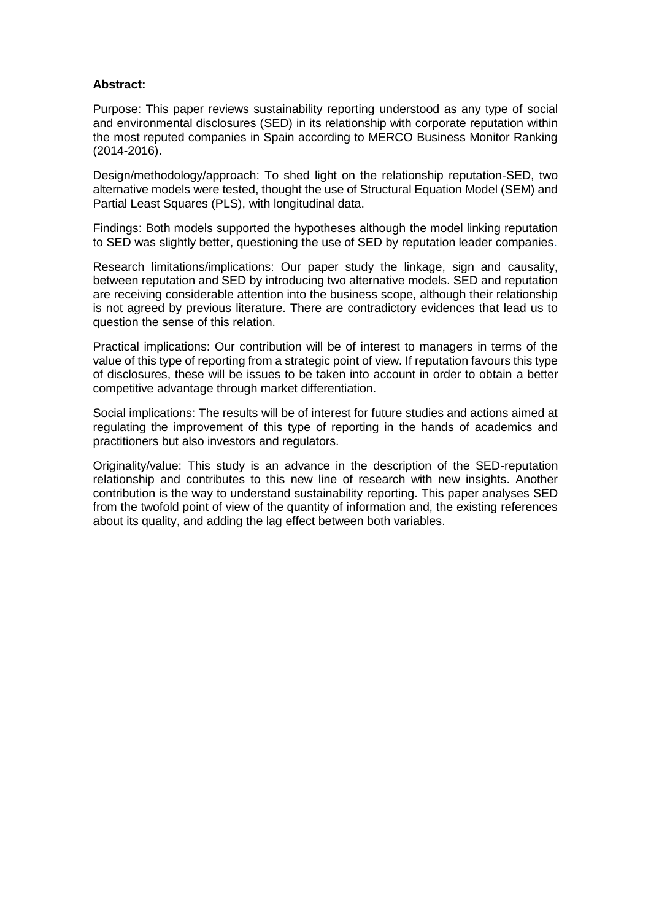### **Abstract:**

Purpose: This paper reviews sustainability reporting understood as any type of social and environmental disclosures (SED) in its relationship with corporate reputation within the most reputed companies in Spain according to MERCO Business Monitor Ranking (2014-2016).

Design/methodology/approach: To shed light on the relationship reputation-SED, two alternative models were tested, thought the use of Structural Equation Model (SEM) and Partial Least Squares (PLS), with longitudinal data.

Findings: Both models supported the hypotheses although the model linking reputation to SED was slightly better, questioning the use of SED by reputation leader companies.

Research limitations/implications: Our paper study the linkage, sign and causality, between reputation and SED by introducing two alternative models. SED and reputation are receiving considerable attention into the business scope, although their relationship is not agreed by previous literature. There are contradictory evidences that lead us to question the sense of this relation.

Practical implications: Our contribution will be of interest to managers in terms of the value of this type of reporting from a strategic point of view. If reputation favours this type of disclosures, these will be issues to be taken into account in order to obtain a better competitive advantage through market differentiation.

Social implications: The results will be of interest for future studies and actions aimed at regulating the improvement of this type of reporting in the hands of academics and practitioners but also investors and regulators.

Originality/value: This study is an advance in the description of the SED-reputation relationship and contributes to this new line of research with new insights. Another contribution is the way to understand sustainability reporting. This paper analyses SED from the twofold point of view of the quantity of information and, the existing references about its quality, and adding the lag effect between both variables.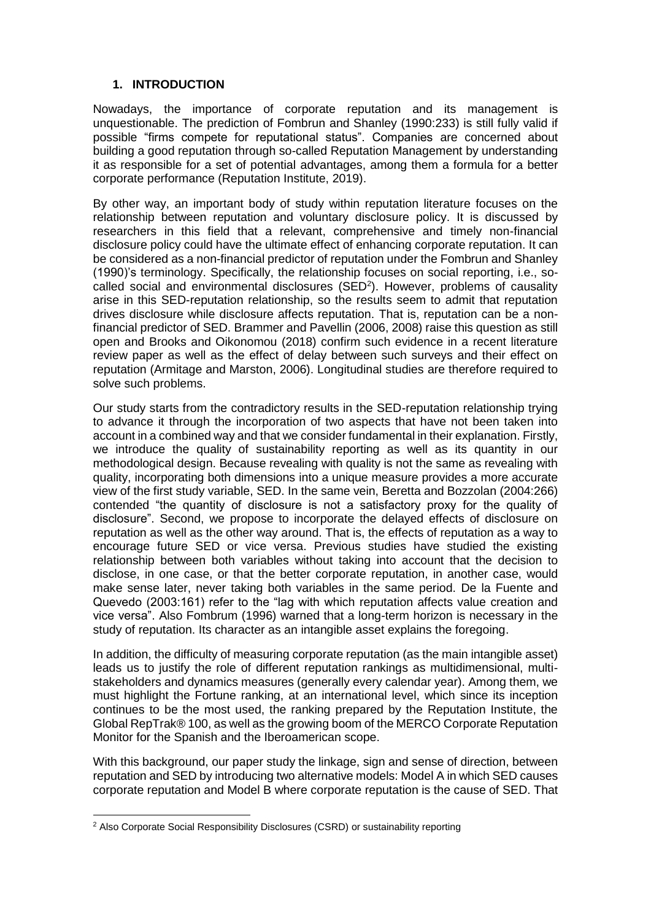## **1. INTRODUCTION**

Nowadays, the importance of corporate reputation and its management is unquestionable. The prediction of Fombrun and Shanley (1990:233) is still fully valid if possible "firms compete for reputational status". Companies are concerned about building a good reputation through so-called Reputation Management by understanding it as responsible for a set of potential advantages, among them a formula for a better corporate performance (Reputation Institute, 2019).

By other way, an important body of study within reputation literature focuses on the relationship between reputation and voluntary disclosure policy. It is discussed by researchers in this field that a relevant, comprehensive and timely non-financial disclosure policy could have the ultimate effect of enhancing corporate reputation. It can be considered as a non-financial predictor of reputation under the Fombrun and Shanley (1990)'s terminology. Specifically, the relationship focuses on social reporting, i.e., socalled social and environmental disclosures (SED<sup>2</sup>). However, problems of causality arise in this SED-reputation relationship, so the results seem to admit that reputation drives disclosure while disclosure affects reputation. That is, reputation can be a nonfinancial predictor of SED. Brammer and Pavellin (2006, 2008) raise this question as still open and Brooks and Oikonomou (2018) confirm such evidence in a recent literature review paper as well as the effect of delay between such surveys and their effect on reputation (Armitage and Marston, 2006). Longitudinal studies are therefore required to solve such problems.

Our study starts from the contradictory results in the SED-reputation relationship trying to advance it through the incorporation of two aspects that have not been taken into account in a combined way and that we consider fundamental in their explanation. Firstly, we introduce the quality of sustainability reporting as well as its quantity in our methodological design. Because revealing with quality is not the same as revealing with quality, incorporating both dimensions into a unique measure provides a more accurate view of the first study variable, SED. In the same vein, Beretta and Bozzolan (2004:266) contended "the quantity of disclosure is not a satisfactory proxy for the quality of disclosure". Second, we propose to incorporate the delayed effects of disclosure on reputation as well as the other way around. That is, the effects of reputation as a way to encourage future SED or vice versa. Previous studies have studied the existing relationship between both variables without taking into account that the decision to disclose, in one case, or that the better corporate reputation, in another case, would make sense later, never taking both variables in the same period. De la Fuente and Quevedo (2003:161) refer to the "lag with which reputation affects value creation and vice versa". Also Fombrum (1996) warned that a long-term horizon is necessary in the study of reputation. Its character as an intangible asset explains the foregoing.

In addition, the difficulty of measuring corporate reputation (as the main intangible asset) leads us to justify the role of different reputation rankings as multidimensional, multistakeholders and dynamics measures (generally every calendar year). Among them, we must highlight the Fortune ranking, at an international level, which since its inception continues to be the most used, the ranking prepared by the Reputation Institute, the Global RepTrak® 100, as well as the growing boom of the MERCO Corporate Reputation Monitor for the Spanish and the Iberoamerican scope.

With this background, our paper study the linkage, sign and sense of direction, between reputation and SED by introducing two alternative models: Model A in which SED causes corporate reputation and Model B where corporate reputation is the cause of SED. That

 $\overline{\phantom{a}}$ 

<sup>&</sup>lt;sup>2</sup> Also Corporate Social Responsibility Disclosures (CSRD) or sustainability reporting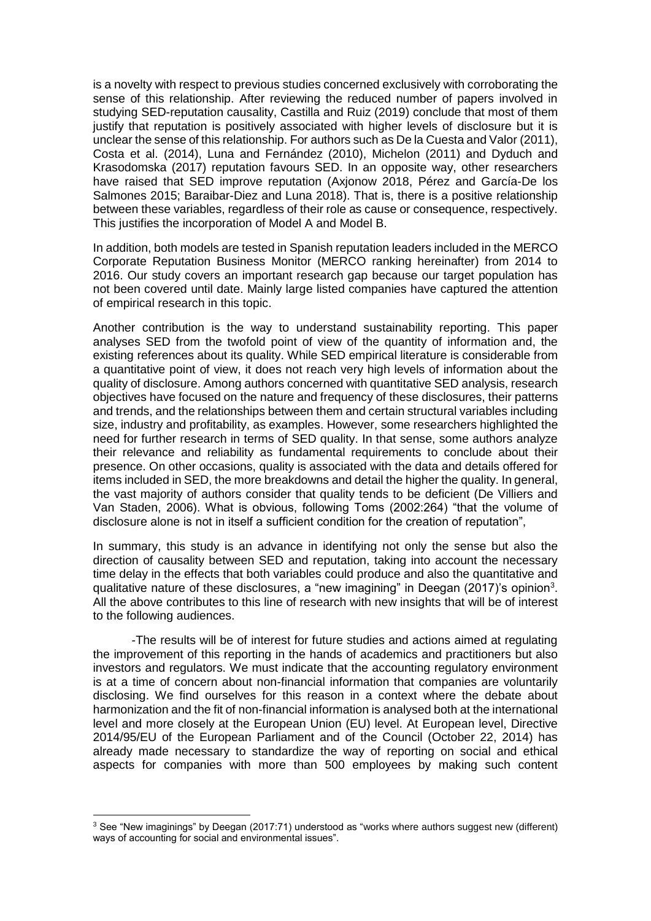is a novelty with respect to previous studies concerned exclusively with corroborating the sense of this relationship. After reviewing the reduced number of papers involved in studying SED-reputation causality, Castilla and Ruiz (2019) conclude that most of them justify that reputation is positively associated with higher levels of disclosure but it is unclear the sense of this relationship. For authors such as De la Cuesta and Valor (2011), Costa et al. (2014), Luna and Fernández (2010), Michelon (2011) and Dyduch and Krasodomska (2017) reputation favours SED. In an opposite way, other researchers have raised that SED improve reputation (Axjonow 2018, Pérez and García-De los Salmones 2015; Baraibar-Diez and Luna 2018). That is, there is a positive relationship between these variables, regardless of their role as cause or consequence, respectively. This justifies the incorporation of Model A and Model B.

In addition, both models are tested in Spanish reputation leaders included in the MERCO Corporate Reputation Business Monitor (MERCO ranking hereinafter) from 2014 to 2016. Our study covers an important research gap because our target population has not been covered until date. Mainly large listed companies have captured the attention of empirical research in this topic.

Another contribution is the way to understand sustainability reporting. This paper analyses SED from the twofold point of view of the quantity of information and, the existing references about its quality. While SED empirical literature is considerable from a quantitative point of view, it does not reach very high levels of information about the quality of disclosure. Among authors concerned with quantitative SED analysis, research objectives have focused on the nature and frequency of these disclosures, their patterns and trends, and the relationships between them and certain structural variables including size, industry and profitability, as examples. However, some researchers highlighted the need for further research in terms of SED quality. In that sense, some authors analyze their relevance and reliability as fundamental requirements to conclude about their presence. On other occasions, quality is associated with the data and details offered for items included in SED, the more breakdowns and detail the higher the quality. In general, the vast majority of authors consider that quality tends to be deficient (De Villiers and Van Staden, 2006). What is obvious, following Toms (2002:264) "that the volume of disclosure alone is not in itself a sufficient condition for the creation of reputation",

In summary, this study is an advance in identifying not only the sense but also the direction of causality between SED and reputation, taking into account the necessary time delay in the effects that both variables could produce and also the quantitative and qualitative nature of these disclosures, a "new imagining" in Deegan (2017)'s opinion<sup>3</sup>. All the above contributes to this line of research with new insights that will be of interest to the following audiences.

-The results will be of interest for future studies and actions aimed at regulating the improvement of this reporting in the hands of academics and practitioners but also investors and regulators. We must indicate that the accounting regulatory environment is at a time of concern about non-financial information that companies are voluntarily disclosing. We find ourselves for this reason in a context where the debate about harmonization and the fit of non-financial information is analysed both at the international level and more closely at the European Union (EU) level. At European level, Directive 2014/95/EU of the European Parliament and of the Council (October 22, 2014) has already made necessary to standardize the way of reporting on social and ethical aspects for companies with more than 500 employees by making such content

 $\overline{\phantom{a}}$ 

 $3$  See "New imaginings" by Deegan (2017:71) understood as "works where authors suggest new (different) ways of accounting for social and environmental issues".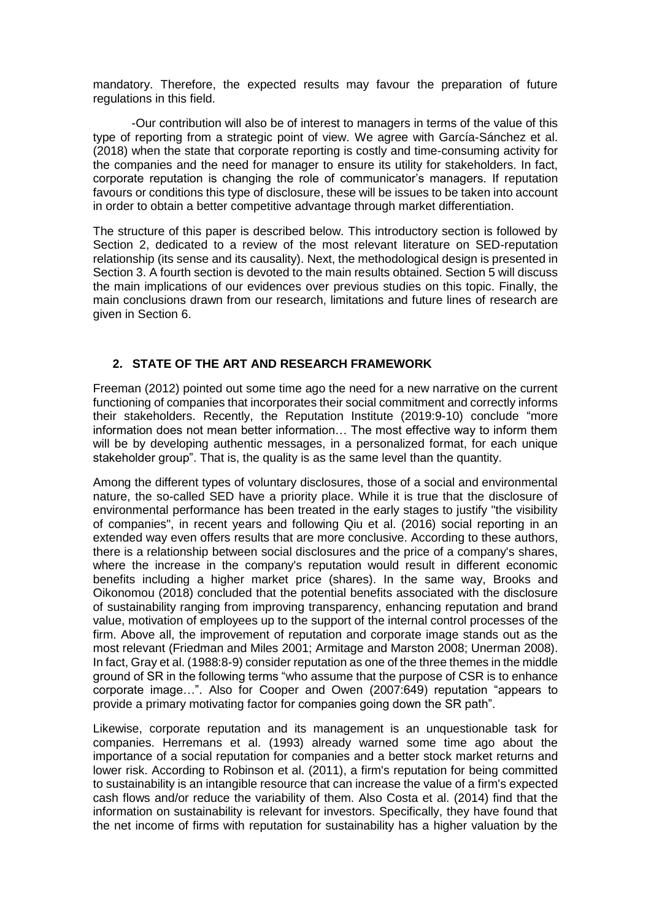mandatory. Therefore, the expected results may favour the preparation of future regulations in this field.

-Our contribution will also be of interest to managers in terms of the value of this type of reporting from a strategic point of view. We agree with García-Sánchez et al. (2018) when the state that corporate reporting is costly and time-consuming activity for the companies and the need for manager to ensure its utility for stakeholders. In fact, corporate reputation is changing the role of communicator's managers. If reputation favours or conditions this type of disclosure, these will be issues to be taken into account in order to obtain a better competitive advantage through market differentiation.

The structure of this paper is described below. This introductory section is followed by Section 2, dedicated to a review of the most relevant literature on SED-reputation relationship (its sense and its causality). Next, the methodological design is presented in Section 3. A fourth section is devoted to the main results obtained. Section 5 will discuss the main implications of our evidences over previous studies on this topic. Finally, the main conclusions drawn from our research, limitations and future lines of research are given in Section 6.

## **2. STATE OF THE ART AND RESEARCH FRAMEWORK**

Freeman (2012) pointed out some time ago the need for a new narrative on the current functioning of companies that incorporates their social commitment and correctly informs their stakeholders. Recently, the Reputation Institute (2019:9-10) conclude "more information does not mean better information… The most effective way to inform them will be by developing authentic messages, in a personalized format, for each unique stakeholder group". That is, the quality is as the same level than the quantity.

Among the different types of voluntary disclosures, those of a social and environmental nature, the so-called SED have a priority place. While it is true that the disclosure of environmental performance has been treated in the early stages to justify "the visibility of companies", in recent years and following Qiu et al. (2016) social reporting in an extended way even offers results that are more conclusive. According to these authors, there is a relationship between social disclosures and the price of a company's shares, where the increase in the company's reputation would result in different economic benefits including a higher market price (shares). In the same way, Brooks and Oikonomou (2018) concluded that the potential benefits associated with the disclosure of sustainability ranging from improving transparency, enhancing reputation and brand value, motivation of employees up to the support of the internal control processes of the firm. Above all, the improvement of reputation and corporate image stands out as the most relevant (Friedman and Miles 2001; Armitage and Marston 2008; Unerman 2008). In fact, Gray et al. (1988:8-9) consider reputation as one of the three themes in the middle ground of SR in the following terms "who assume that the purpose of CSR is to enhance corporate image…". Also for Cooper and Owen (2007:649) reputation "appears to provide a primary motivating factor for companies going down the SR path".

Likewise, corporate reputation and its management is an unquestionable task for companies. Herremans et al. (1993) already warned some time ago about the importance of a social reputation for companies and a better stock market returns and lower risk. According to Robinson et al. (2011), a firm's reputation for being committed to sustainability is an intangible resource that can increase the value of a firm's expected cash flows and/or reduce the variability of them. Also Costa et al. (2014) find that the information on sustainability is relevant for investors. Specifically, they have found that the net income of firms with reputation for sustainability has a higher valuation by the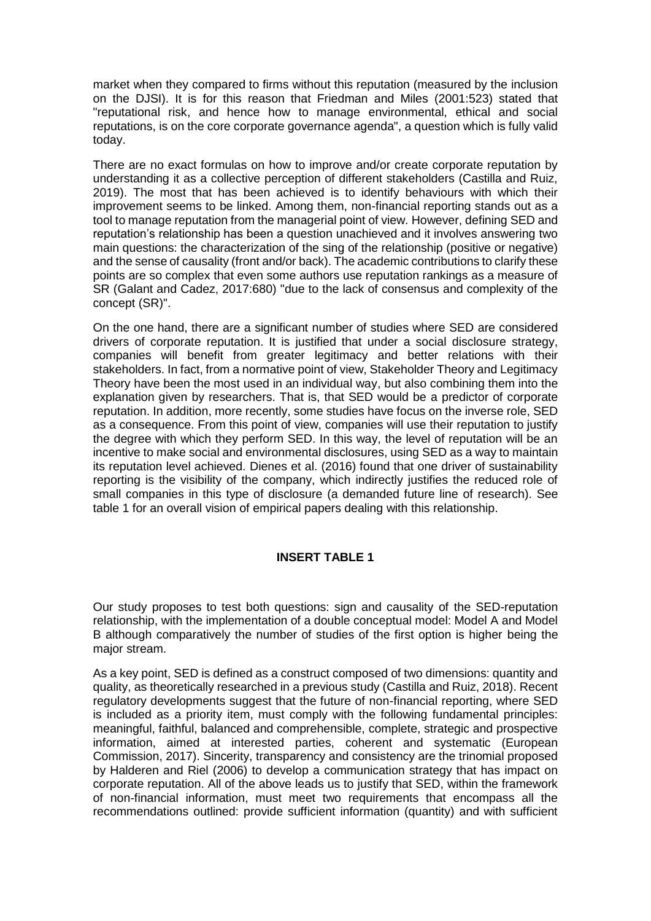market when they compared to firms without this reputation (measured by the inclusion on the DJSI). It is for this reason that Friedman and Miles (2001:523) stated that "reputational risk, and hence how to manage environmental, ethical and social reputations, is on the core corporate governance agenda", a question which is fully valid today.

There are no exact formulas on how to improve and/or create corporate reputation by understanding it as a collective perception of different stakeholders (Castilla and Ruiz, 2019). The most that has been achieved is to identify behaviours with which their improvement seems to be linked. Among them, non-financial reporting stands out as a tool to manage reputation from the managerial point of view. However, defining SED and reputation's relationship has been a question unachieved and it involves answering two main questions: the characterization of the sing of the relationship (positive or negative) and the sense of causality (front and/or back). The academic contributions to clarify these points are so complex that even some authors use reputation rankings as a measure of SR (Galant and Cadez, 2017:680) "due to the lack of consensus and complexity of the concept (SR)".

On the one hand, there are a significant number of studies where SED are considered drivers of corporate reputation. It is justified that under a social disclosure strategy, companies will benefit from greater legitimacy and better relations with their stakeholders. In fact, from a normative point of view, Stakeholder Theory and Legitimacy Theory have been the most used in an individual way, but also combining them into the explanation given by researchers. That is, that SED would be a predictor of corporate reputation. In addition, more recently, some studies have focus on the inverse role, SED as a consequence. From this point of view, companies will use their reputation to justify the degree with which they perform SED. In this way, the level of reputation will be an incentive to make social and environmental disclosures, using SED as a way to maintain its reputation level achieved. Dienes et al. (2016) found that one driver of sustainability reporting is the visibility of the company, which indirectly justifies the reduced role of small companies in this type of disclosure (a demanded future line of research). See table 1 for an overall vision of empirical papers dealing with this relationship.

### **INSERT TABLE 1**

Our study proposes to test both questions: sign and causality of the SED-reputation relationship, with the implementation of a double conceptual model: Model A and Model B although comparatively the number of studies of the first option is higher being the major stream.

As a key point, SED is defined as a construct composed of two dimensions: quantity and quality, as theoretically researched in a previous study (Castilla and Ruiz, 2018). Recent regulatory developments suggest that the future of non-financial reporting, where SED is included as a priority item, must comply with the following fundamental principles: meaningful, faithful, balanced and comprehensible, complete, strategic and prospective information, aimed at interested parties, coherent and systematic (European Commission, 2017). Sincerity, transparency and consistency are the trinomial proposed by Halderen and Riel (2006) to develop a communication strategy that has impact on corporate reputation. All of the above leads us to justify that SED, within the framework of non-financial information, must meet two requirements that encompass all the recommendations outlined: provide sufficient information (quantity) and with sufficient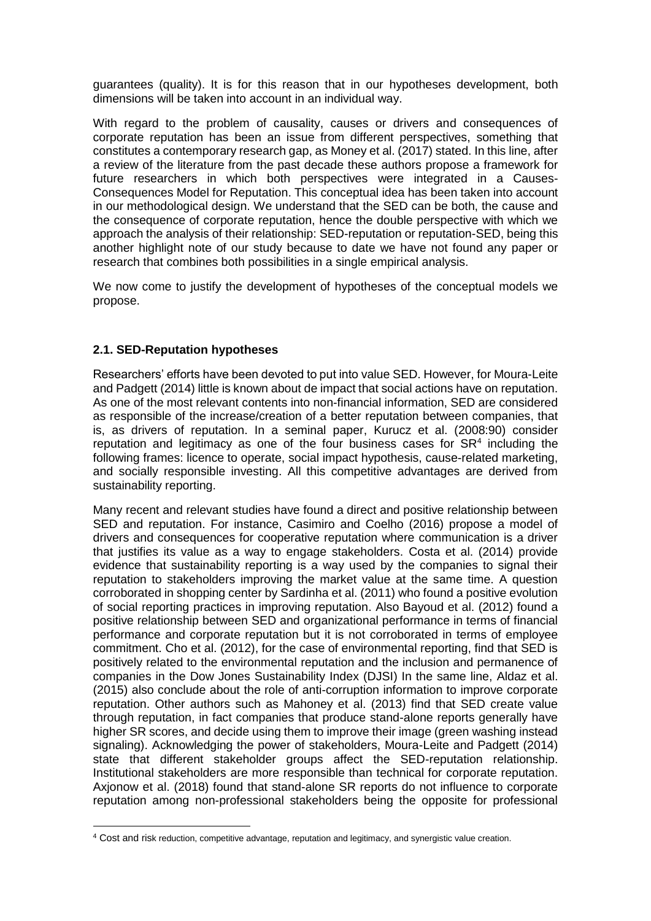guarantees (quality). It is for this reason that in our hypotheses development, both dimensions will be taken into account in an individual way.

With regard to the problem of causality, causes or drivers and consequences of corporate reputation has been an issue from different perspectives, something that constitutes a contemporary research gap, as Money et al. (2017) stated. In this line, after a review of the literature from the past decade these authors propose a framework for future researchers in which both perspectives were integrated in a Causes-Consequences Model for Reputation. This conceptual idea has been taken into account in our methodological design. We understand that the SED can be both, the cause and the consequence of corporate reputation, hence the double perspective with which we approach the analysis of their relationship: SED-reputation or reputation-SED, being this another highlight note of our study because to date we have not found any paper or research that combines both possibilities in a single empirical analysis.

We now come to justify the development of hypotheses of the conceptual models we propose.

## **2.1. SED-Reputation hypotheses**

**.** 

Researchers' efforts have been devoted to put into value SED. However, for Moura-Leite and Padgett (2014) little is known about de impact that social actions have on reputation. As one of the most relevant contents into non-financial information, SED are considered as responsible of the increase/creation of a better reputation between companies, that is, as drivers of reputation. In a seminal paper, Kurucz et al. (2008:90) consider reputation and legitimacy as one of the four business cases for  $SR<sup>4</sup>$  including the following frames: licence to operate, social impact hypothesis, cause-related marketing, and socially responsible investing. All this competitive advantages are derived from sustainability reporting.

Many recent and relevant studies have found a direct and positive relationship between SED and reputation. For instance, Casimiro and Coelho (2016) propose a model of drivers and consequences for cooperative reputation where communication is a driver that justifies its value as a way to engage stakeholders. Costa et al. (2014) provide evidence that sustainability reporting is a way used by the companies to signal their reputation to stakeholders improving the market value at the same time. A question corroborated in shopping center by Sardinha et al. (2011) who found a positive evolution of social reporting practices in improving reputation. Also Bayoud et al. (2012) found a positive relationship between SED and organizational performance in terms of financial performance and corporate reputation but it is not corroborated in terms of employee commitment. Cho et al. (2012), for the case of environmental reporting, find that SED is positively related to the environmental reputation and the inclusion and permanence of companies in the Dow Jones Sustainability Index (DJSI) In the same line, Aldaz et al. (2015) also conclude about the role of anti-corruption information to improve corporate reputation. Other authors such as Mahoney et al. (2013) find that SED create value through reputation, in fact companies that produce stand-alone reports generally have higher SR scores, and decide using them to improve their image (green washing instead signaling). Acknowledging the power of stakeholders, Moura-Leite and Padgett (2014) state that different stakeholder groups affect the SED-reputation relationship. Institutional stakeholders are more responsible than technical for corporate reputation. Axjonow et al. (2018) found that stand-alone SR reports do not influence to corporate reputation among non-professional stakeholders being the opposite for professional

<sup>4</sup> Cost and risk reduction, competitive advantage, reputation and legitimacy, and synergistic value creation.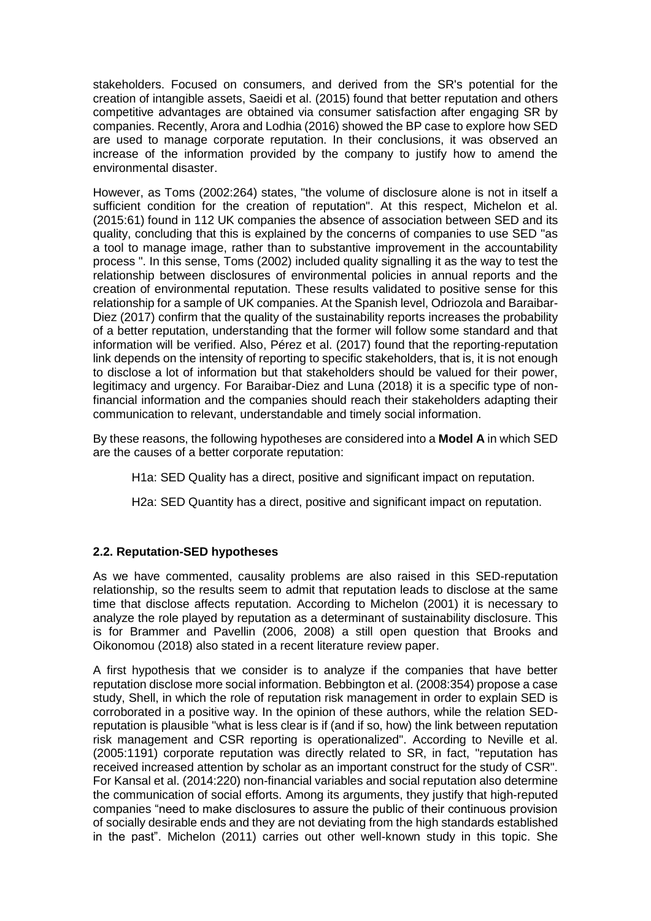stakeholders. Focused on consumers, and derived from the SR's potential for the creation of intangible assets, Saeidi et al. (2015) found that better reputation and others competitive advantages are obtained via consumer satisfaction after engaging SR by companies. Recently, Arora and Lodhia (2016) showed the BP case to explore how SED are used to manage corporate reputation. In their conclusions, it was observed an increase of the information provided by the company to justify how to amend the environmental disaster.

However, as Toms (2002:264) states, "the volume of disclosure alone is not in itself a sufficient condition for the creation of reputation". At this respect, Michelon et al. (2015:61) found in 112 UK companies the absence of association between SED and its quality, concluding that this is explained by the concerns of companies to use SED "as a tool to manage image, rather than to substantive improvement in the accountability process ". In this sense, Toms (2002) included quality signalling it as the way to test the relationship between disclosures of environmental policies in annual reports and the creation of environmental reputation. These results validated to positive sense for this relationship for a sample of UK companies. At the Spanish level, Odriozola and Baraibar-Diez (2017) confirm that the quality of the sustainability reports increases the probability of a better reputation, understanding that the former will follow some standard and that information will be verified. Also, Pérez et al. (2017) found that the reporting-reputation link depends on the intensity of reporting to specific stakeholders, that is, it is not enough to disclose a lot of information but that stakeholders should be valued for their power, legitimacy and urgency. For Baraibar-Diez and Luna (2018) it is a specific type of nonfinancial information and the companies should reach their stakeholders adapting their communication to relevant, understandable and timely social information.

By these reasons, the following hypotheses are considered into a **Model A** in which SED are the causes of a better corporate reputation:

H1a: SED Quality has a direct, positive and significant impact on reputation.

H2a: SED Quantity has a direct, positive and significant impact on reputation.

### **2.2. Reputation-SED hypotheses**

As we have commented, causality problems are also raised in this SED-reputation relationship, so the results seem to admit that reputation leads to disclose at the same time that disclose affects reputation. According to Michelon (2001) it is necessary to analyze the role played by reputation as a determinant of sustainability disclosure. This is for Brammer and Pavellin (2006, 2008) a still open question that Brooks and Oikonomou (2018) also stated in a recent literature review paper.

A first hypothesis that we consider is to analyze if the companies that have better reputation disclose more social information. Bebbington et al. (2008:354) propose a case study, Shell, in which the role of reputation risk management in order to explain SED is corroborated in a positive way. In the opinion of these authors, while the relation SEDreputation is plausible "what is less clear is if (and if so, how) the link between reputation risk management and CSR reporting is operationalized". According to Neville et al. (2005:1191) corporate reputation was directly related to SR, in fact, "reputation has received increased attention by scholar as an important construct for the study of CSR". For Kansal et al. (2014:220) non-financial variables and social reputation also determine the communication of social efforts. Among its arguments, they justify that high-reputed companies "need to make disclosures to assure the public of their continuous provision of socially desirable ends and they are not deviating from the high standards established in the past". Michelon (2011) carries out other well-known study in this topic. She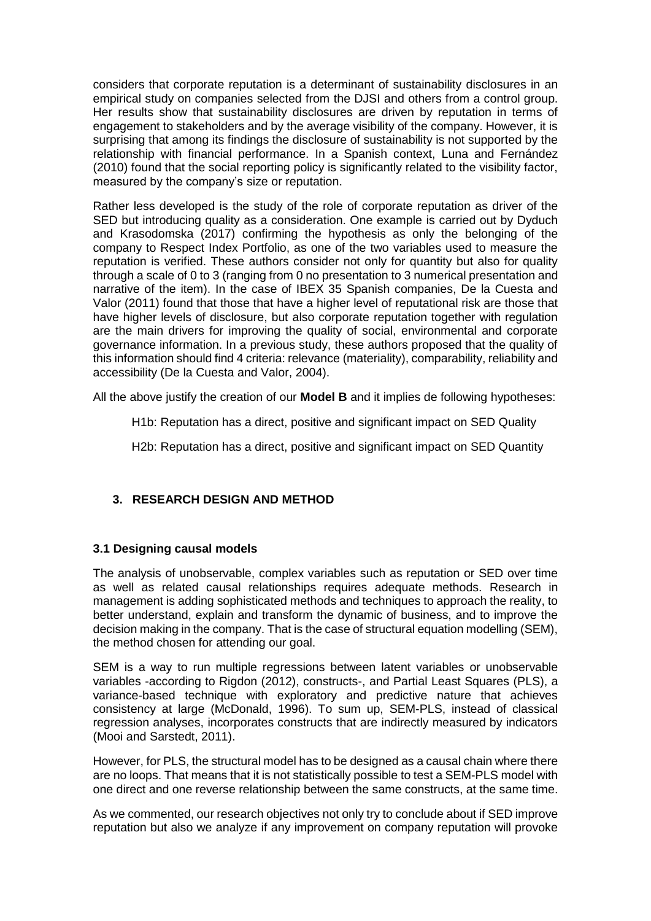considers that corporate reputation is a determinant of sustainability disclosures in an empirical study on companies selected from the DJSI and others from a control group. Her results show that sustainability disclosures are driven by reputation in terms of engagement to stakeholders and by the average visibility of the company. However, it is surprising that among its findings the disclosure of sustainability is not supported by the relationship with financial performance. In a Spanish context, Luna and Fernández (2010) found that the social reporting policy is significantly related to the visibility factor, measured by the company's size or reputation.

Rather less developed is the study of the role of corporate reputation as driver of the SED but introducing quality as a consideration. One example is carried out by Dyduch and Krasodomska (2017) confirming the hypothesis as only the belonging of the company to Respect Index Portfolio, as one of the two variables used to measure the reputation is verified. These authors consider not only for quantity but also for quality through a scale of 0 to 3 (ranging from 0 no presentation to 3 numerical presentation and narrative of the item). In the case of IBEX 35 Spanish companies, De la Cuesta and Valor (2011) found that those that have a higher level of reputational risk are those that have higher levels of disclosure, but also corporate reputation together with regulation are the main drivers for improving the quality of social, environmental and corporate governance information. In a previous study, these authors proposed that the quality of this information should find 4 criteria: relevance (materiality), comparability, reliability and accessibility (De la Cuesta and Valor, 2004).

All the above justify the creation of our **Model B** and it implies de following hypotheses:

H1b: Reputation has a direct, positive and significant impact on SED Quality

H2b: Reputation has a direct, positive and significant impact on SED Quantity

### **3. RESEARCH DESIGN AND METHOD**

### **3.1 Designing causal models**

The analysis of unobservable, complex variables such as reputation or SED over time as well as related causal relationships requires adequate methods. Research in management is adding sophisticated methods and techniques to approach the reality, to better understand, explain and transform the dynamic of business, and to improve the decision making in the company. That is the case of structural equation modelling (SEM), the method chosen for attending our goal.

SEM is a way to run multiple regressions between latent variables or unobservable variables -according to Rigdon (2012), constructs-, and Partial Least Squares (PLS), a variance-based technique with exploratory and predictive nature that achieves consistency at large (McDonald, 1996). To sum up, SEM-PLS, instead of classical regression analyses, incorporates constructs that are indirectly measured by indicators (Mooi and Sarstedt, 2011).

However, for PLS, the structural model has to be designed as a causal chain where there are no loops. That means that it is not statistically possible to test a SEM-PLS model with one direct and one reverse relationship between the same constructs, at the same time.

As we commented, our research objectives not only try to conclude about if SED improve reputation but also we analyze if any improvement on company reputation will provoke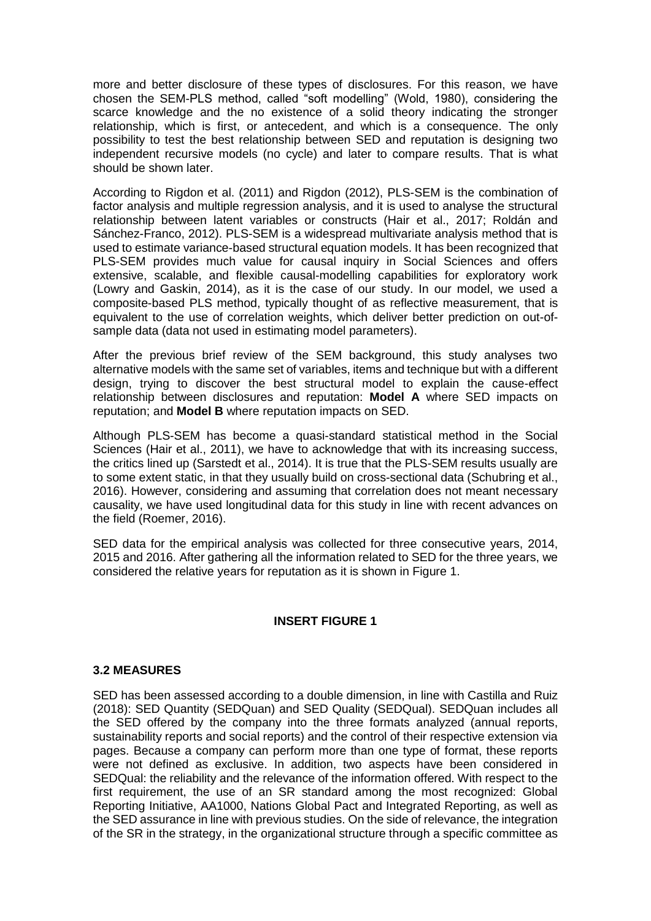more and better disclosure of these types of disclosures. For this reason, we have chosen the SEM-PLS method, called "soft modelling" (Wold, 1980), considering the scarce knowledge and the no existence of a solid theory indicating the stronger relationship, which is first, or antecedent, and which is a consequence. The only possibility to test the best relationship between SED and reputation is designing two independent recursive models (no cycle) and later to compare results. That is what should be shown later.

According to Rigdon et al. (2011) and Rigdon (2012), PLS-SEM is the combination of factor analysis and multiple regression analysis, and it is used to analyse the structural relationship between latent variables or constructs (Hair et al., 2017; Roldán and Sánchez-Franco, 2012). PLS-SEM is a widespread multivariate analysis method that is used to estimate variance-based structural equation models. It has been recognized that PLS-SEM provides much value for causal inquiry in Social Sciences and offers extensive, scalable, and flexible causal-modelling capabilities for exploratory work (Lowry and Gaskin, 2014), as it is the case of our study. In our model, we used a composite-based PLS method, typically thought of as reflective measurement, that is equivalent to the use of correlation weights, which deliver better prediction on out-ofsample data (data not used in estimating model parameters).

After the previous brief review of the SEM background, this study analyses two alternative models with the same set of variables, items and technique but with a different design, trying to discover the best structural model to explain the cause-effect relationship between disclosures and reputation: **Model A** where SED impacts on reputation; and **Model B** where reputation impacts on SED.

Although PLS-SEM has become a quasi-standard statistical method in the Social Sciences (Hair et al., 2011), we have to acknowledge that with its increasing success, the critics lined up (Sarstedt et al., 2014). It is true that the PLS-SEM results usually are to some extent static, in that they usually build on cross-sectional data (Schubring et al., 2016). However, considering and assuming that correlation does not meant necessary causality, we have used longitudinal data for this study in line with recent advances on the field (Roemer, 2016).

SED data for the empirical analysis was collected for three consecutive years, 2014, 2015 and 2016. After gathering all the information related to SED for the three years, we considered the relative years for reputation as it is shown in Figure 1.

### **INSERT FIGURE 1**

#### **3.2 MEASURES**

SED has been assessed according to a double dimension, in line with Castilla and Ruiz (2018): SED Quantity (SEDQuan) and SED Quality (SEDQual). SEDQuan includes all the SED offered by the company into the three formats analyzed (annual reports, sustainability reports and social reports) and the control of their respective extension via pages. Because a company can perform more than one type of format, these reports were not defined as exclusive. In addition, two aspects have been considered in SEDQual: the reliability and the relevance of the information offered. With respect to the first requirement, the use of an SR standard among the most recognized: Global Reporting Initiative, AA1000, Nations Global Pact and Integrated Reporting, as well as the SED assurance in line with previous studies. On the side of relevance, the integration of the SR in the strategy, in the organizational structure through a specific committee as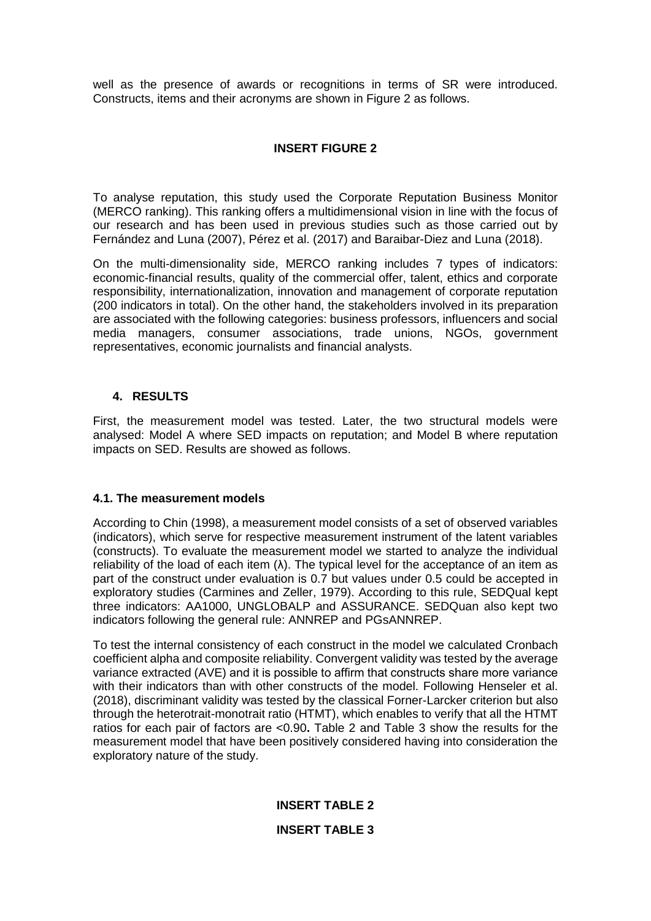well as the presence of awards or recognitions in terms of SR were introduced. Constructs, items and their acronyms are shown in Figure 2 as follows.

# **INSERT FIGURE 2**

To analyse reputation, this study used the Corporate Reputation Business Monitor (MERCO ranking). This ranking offers a multidimensional vision in line with the focus of our research and has been used in previous studies such as those carried out by Fernández and Luna (2007), Pérez et al. (2017) and Baraibar-Diez and Luna (2018).

On the multi-dimensionality side, MERCO ranking includes 7 types of indicators: economic-financial results, quality of the commercial offer, talent, ethics and corporate responsibility, internationalization, innovation and management of corporate reputation (200 indicators in total). On the other hand, the stakeholders involved in its preparation are associated with the following categories: business professors, influencers and social media managers, consumer associations, trade unions, NGOs, government representatives, economic journalists and financial analysts.

## **4. RESULTS**

First, the measurement model was tested. Later, the two structural models were analysed: Model A where SED impacts on reputation; and Model B where reputation impacts on SED. Results are showed as follows.

### **4.1. The measurement models**

According to Chin (1998), a measurement model consists of a set of observed variables (indicators), which serve for respective measurement instrument of the latent variables (constructs). To evaluate the measurement model we started to analyze the individual reliability of the load of each item  $(\lambda)$ . The typical level for the acceptance of an item as part of the construct under evaluation is 0.7 but values under 0.5 could be accepted in exploratory studies (Carmines and Zeller, 1979). According to this rule, SEDQual kept three indicators: AA1000, UNGLOBALP and ASSURANCE. SEDQuan also kept two indicators following the general rule: ANNREP and PGsANNREP.

To test the internal consistency of each construct in the model we calculated Cronbach coefficient alpha and composite reliability. Convergent validity was tested by the average variance extracted (AVE) and it is possible to affirm that constructs share more variance with their indicators than with other constructs of the model. Following Henseler et al. (2018), discriminant validity was tested by the classical Forner-Larcker criterion but also through the heterotrait-monotrait ratio (HTMT), which enables to verify that all the HTMT ratios for each pair of factors are <0.90**.** Table 2 and Table 3 show the results for the measurement model that have been positively considered having into consideration the exploratory nature of the study.

# **INSERT TABLE 2**

# **INSERT TABLE 3**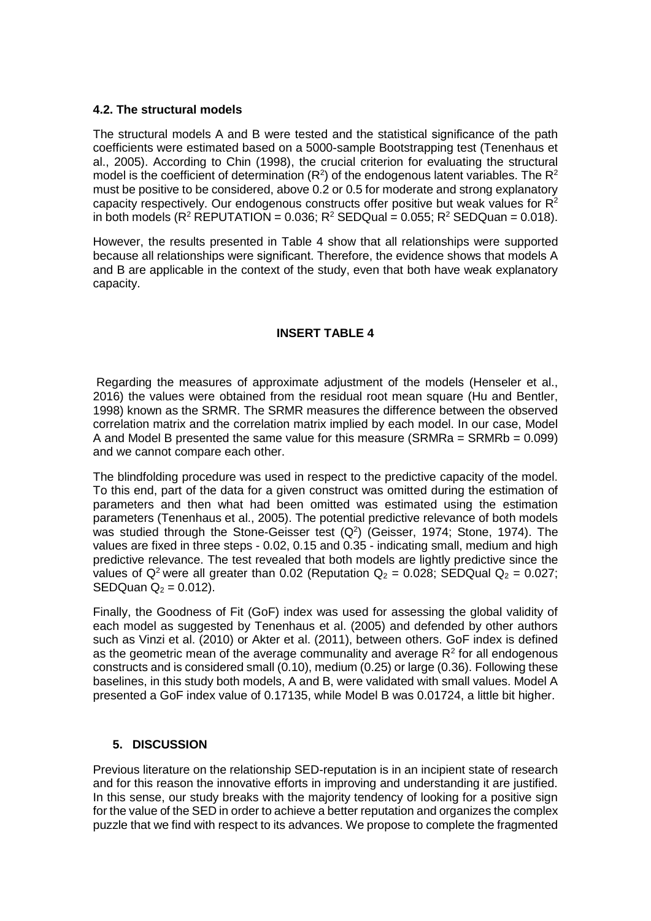### **4.2. The structural models**

The structural models A and B were tested and the statistical significance of the path coefficients were estimated based on a 5000-sample Bootstrapping test (Tenenhaus et al., 2005). According to Chin (1998), the crucial criterion for evaluating the structural model is the coefficient of determination ( $R^2$ ) of the endogenous latent variables. The  $R^2$ must be positive to be considered, above 0.2 or 0.5 for moderate and strong explanatory capacity respectively. Our endogenous constructs offer positive but weak values for  $R^2$ in both models ( $R^2$  REPUTATION = 0.036;  $R^2$  SEDQual = 0.055;  $R^2$  SEDQuan = 0.018).

However, the results presented in Table 4 show that all relationships were supported because all relationships were significant. Therefore, the evidence shows that models A and B are applicable in the context of the study, even that both have weak explanatory capacity.

## **INSERT TABLE 4**

Regarding the measures of approximate adjustment of the models (Henseler et al., 2016) the values were obtained from the residual root mean square (Hu and Bentler, 1998) known as the SRMR. The SRMR measures the difference between the observed correlation matrix and the correlation matrix implied by each model. In our case, Model A and Model B presented the same value for this measure (SRMRa =  $SRMRb = 0.099$ ) and we cannot compare each other.

The blindfolding procedure was used in respect to the predictive capacity of the model. To this end, part of the data for a given construct was omitted during the estimation of parameters and then what had been omitted was estimated using the estimation parameters (Tenenhaus et al., 2005). The potential predictive relevance of both models was studied through the Stone-Geisser test  $(Q<sup>2</sup>)$  (Geisser, 1974; Stone, 1974). The values are fixed in three steps - 0.02, 0.15 and 0.35 - indicating small, medium and high predictive relevance. The test revealed that both models are lightly predictive since the values of  $Q^2$  were all greater than 0.02 (Reputation  $Q_2 = 0.028$ ; SEDQual  $Q_2 = 0.027$ ; SEDQuan  $Q_2 = 0.012$ ).

Finally, the Goodness of Fit (GoF) index was used for assessing the global validity of each model as suggested by Tenenhaus et al. (2005) and defended by other authors such as Vinzi et al. (2010) or Akter et al. (2011), between others. GoF index is defined as the geometric mean of the average communality and average  $R<sup>2</sup>$  for all endogenous constructs and is considered small (0.10), medium (0.25) or large (0.36). Following these baselines, in this study both models, A and B, were validated with small values. Model A presented a GoF index value of 0.17135, while Model B was 0.01724, a little bit higher.

# **5. DISCUSSION**

Previous literature on the relationship SED-reputation is in an incipient state of research and for this reason the innovative efforts in improving and understanding it are justified. In this sense, our study breaks with the majority tendency of looking for a positive sign for the value of the SED in order to achieve a better reputation and organizes the complex puzzle that we find with respect to its advances. We propose to complete the fragmented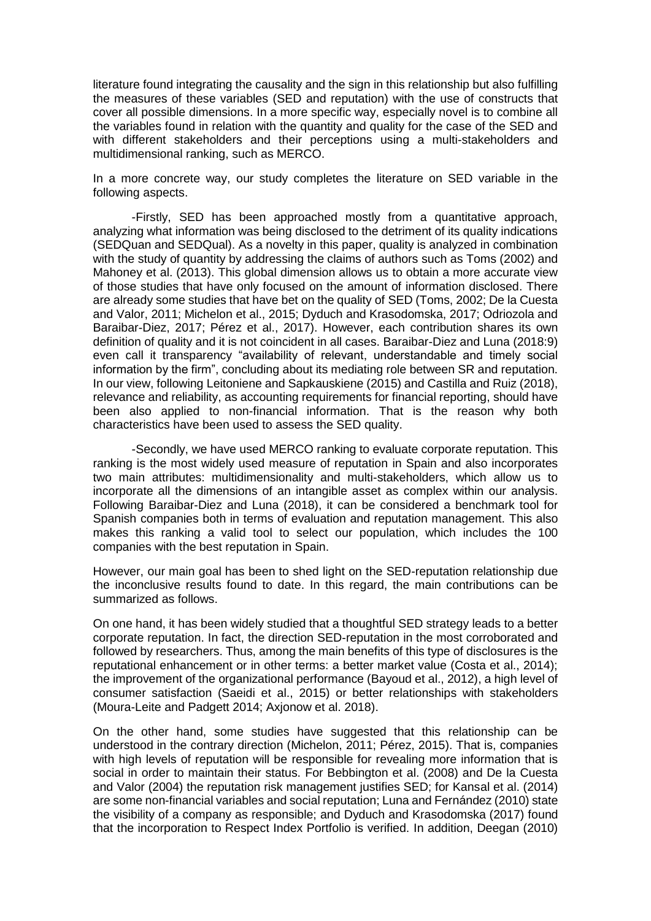literature found integrating the causality and the sign in this relationship but also fulfilling the measures of these variables (SED and reputation) with the use of constructs that cover all possible dimensions. In a more specific way, especially novel is to combine all the variables found in relation with the quantity and quality for the case of the SED and with different stakeholders and their perceptions using a multi-stakeholders and multidimensional ranking, such as MERCO.

In a more concrete way, our study completes the literature on SED variable in the following aspects.

-Firstly, SED has been approached mostly from a quantitative approach, analyzing what information was being disclosed to the detriment of its quality indications (SEDQuan and SEDQual). As a novelty in this paper, quality is analyzed in combination with the study of quantity by addressing the claims of authors such as Toms (2002) and Mahoney et al. (2013). This global dimension allows us to obtain a more accurate view of those studies that have only focused on the amount of information disclosed. There are already some studies that have bet on the quality of SED (Toms, 2002; De la Cuesta and Valor, 2011; Michelon et al., 2015; Dyduch and Krasodomska, 2017; Odriozola and Baraibar-Diez, 2017; Pérez et al., 2017). However, each contribution shares its own definition of quality and it is not coincident in all cases. Baraibar-Diez and Luna (2018:9) even call it transparency "availability of relevant, understandable and timely social information by the firm", concluding about its mediating role between SR and reputation. In our view, following Leitoniene and Sapkauskiene (2015) and Castilla and Ruiz (2018), relevance and reliability, as accounting requirements for financial reporting, should have been also applied to non-financial information. That is the reason why both characteristics have been used to assess the SED quality.

-Secondly, we have used MERCO ranking to evaluate corporate reputation. This ranking is the most widely used measure of reputation in Spain and also incorporates two main attributes: multidimensionality and multi-stakeholders, which allow us to incorporate all the dimensions of an intangible asset as complex within our analysis. Following Baraibar-Diez and Luna (2018), it can be considered a benchmark tool for Spanish companies both in terms of evaluation and reputation management. This also makes this ranking a valid tool to select our population, which includes the 100 companies with the best reputation in Spain.

However, our main goal has been to shed light on the SED-reputation relationship due the inconclusive results found to date. In this regard, the main contributions can be summarized as follows.

On one hand, it has been widely studied that a thoughtful SED strategy leads to a better corporate reputation. In fact, the direction SED-reputation in the most corroborated and followed by researchers. Thus, among the main benefits of this type of disclosures is the reputational enhancement or in other terms: a better market value (Costa et al., 2014); the improvement of the organizational performance (Bayoud et al., 2012), a high level of consumer satisfaction (Saeidi et al., 2015) or better relationships with stakeholders (Moura-Leite and Padgett 2014; Axjonow et al. 2018).

On the other hand, some studies have suggested that this relationship can be understood in the contrary direction (Michelon, 2011; Pérez, 2015). That is, companies with high levels of reputation will be responsible for revealing more information that is social in order to maintain their status. For Bebbington et al. (2008) and De la Cuesta and Valor (2004) the reputation risk management justifies SED; for Kansal et al. (2014) are some non-financial variables and social reputation; Luna and Fernández (2010) state the visibility of a company as responsible; and Dyduch and Krasodomska (2017) found that the incorporation to Respect Index Portfolio is verified. In addition, Deegan (2010)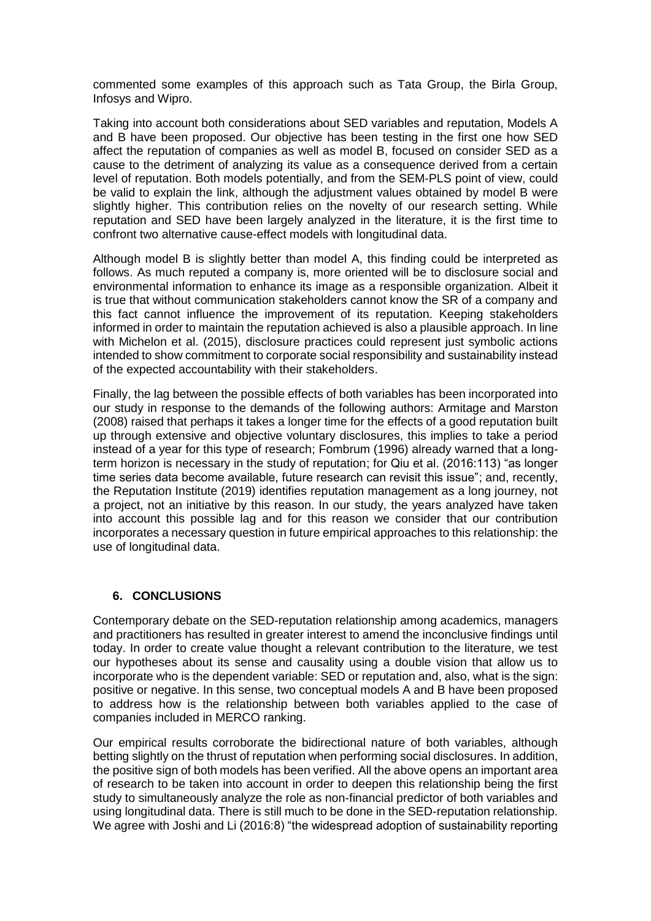commented some examples of this approach such as Tata Group, the Birla Group, Infosys and Wipro.

Taking into account both considerations about SED variables and reputation, Models A and B have been proposed. Our objective has been testing in the first one how SED affect the reputation of companies as well as model B, focused on consider SED as a cause to the detriment of analyzing its value as a consequence derived from a certain level of reputation. Both models potentially, and from the SEM-PLS point of view, could be valid to explain the link, although the adjustment values obtained by model B were slightly higher. This contribution relies on the novelty of our research setting. While reputation and SED have been largely analyzed in the literature, it is the first time to confront two alternative cause-effect models with longitudinal data.

Although model B is slightly better than model A, this finding could be interpreted as follows. As much reputed a company is, more oriented will be to disclosure social and environmental information to enhance its image as a responsible organization. Albeit it is true that without communication stakeholders cannot know the SR of a company and this fact cannot influence the improvement of its reputation. Keeping stakeholders informed in order to maintain the reputation achieved is also a plausible approach. In line with Michelon et al. (2015), disclosure practices could represent just symbolic actions intended to show commitment to corporate social responsibility and sustainability instead of the expected accountability with their stakeholders.

Finally, the lag between the possible effects of both variables has been incorporated into our study in response to the demands of the following authors: Armitage and Marston (2008) raised that perhaps it takes a longer time for the effects of a good reputation built up through extensive and objective voluntary disclosures, this implies to take a period instead of a year for this type of research; Fombrum (1996) already warned that a longterm horizon is necessary in the study of reputation; for Qiu et al. (2016:113) "as longer time series data become available, future research can revisit this issue"; and, recently, the Reputation Institute (2019) identifies reputation management as a long journey, not a project, not an initiative by this reason. In our study, the years analyzed have taken into account this possible lag and for this reason we consider that our contribution incorporates a necessary question in future empirical approaches to this relationship: the use of longitudinal data.

# **6. CONCLUSIONS**

Contemporary debate on the SED-reputation relationship among academics, managers and practitioners has resulted in greater interest to amend the inconclusive findings until today. In order to create value thought a relevant contribution to the literature, we test our hypotheses about its sense and causality using a double vision that allow us to incorporate who is the dependent variable: SED or reputation and, also, what is the sign: positive or negative. In this sense, two conceptual models A and B have been proposed to address how is the relationship between both variables applied to the case of companies included in MERCO ranking.

Our empirical results corroborate the bidirectional nature of both variables, although betting slightly on the thrust of reputation when performing social disclosures. In addition, the positive sign of both models has been verified. All the above opens an important area of research to be taken into account in order to deepen this relationship being the first study to simultaneously analyze the role as non-financial predictor of both variables and using longitudinal data. There is still much to be done in the SED-reputation relationship. We agree with Joshi and Li (2016:8) "the widespread adoption of sustainability reporting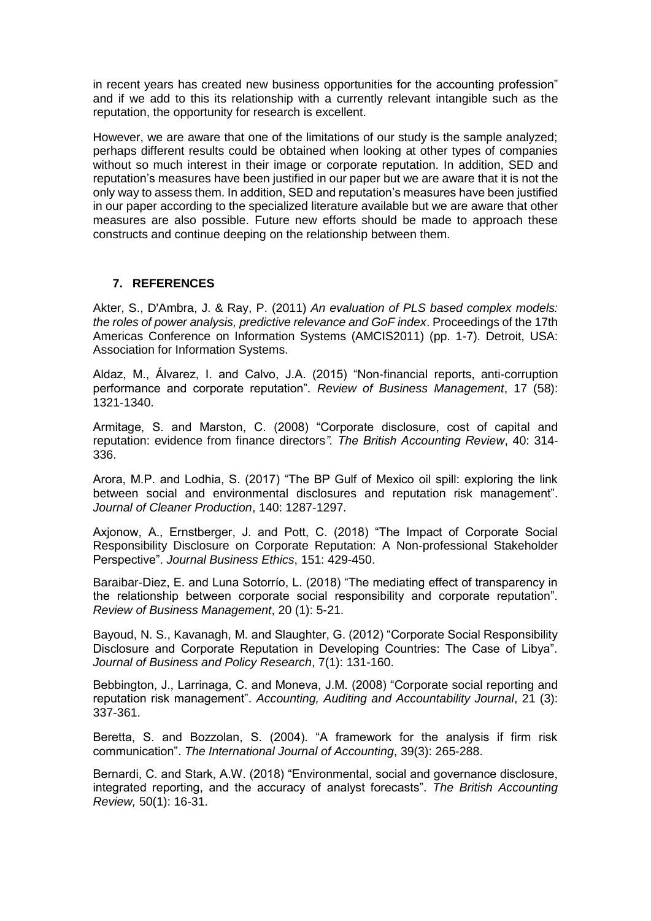in recent years has created new business opportunities for the accounting profession" and if we add to this its relationship with a currently relevant intangible such as the reputation, the opportunity for research is excellent.

However, we are aware that one of the limitations of our study is the sample analyzed; perhaps different results could be obtained when looking at other types of companies without so much interest in their image or corporate reputation. In addition, SED and reputation's measures have been justified in our paper but we are aware that it is not the only way to assess them. In addition, SED and reputation's measures have been justified in our paper according to the specialized literature available but we are aware that other measures are also possible. Future new efforts should be made to approach these constructs and continue deeping on the relationship between them.

## **7. REFERENCES**

Akter, S., D'Ambra, J. & Ray, P. (2011) *An evaluation of PLS based complex models: the roles of power analysis, predictive relevance and GoF index*. Proceedings of the 17th Americas Conference on Information Systems (AMCIS2011) (pp. 1-7). Detroit, USA: Association for Information Systems.

Aldaz, M., Álvarez, I. and Calvo, J.A. (2015) "Non-financial reports, anti-corruption performance and corporate reputation". *Review of Business Management*, 17 (58): 1321-1340.

Armitage, S. and Marston, C. (2008) "Corporate disclosure, cost of capital and reputation: evidence from finance directors*". The British Accounting Review*, 40: 314- 336.

Arora, M.P. and Lodhia, S. (2017) "The BP Gulf of Mexico oil spill: exploring the link between social and environmental disclosures and reputation risk management". *Journal of Cleaner Production*, 140: 1287-1297.

Axjonow, A., Ernstberger, J. and Pott, C. (2018) "The Impact of Corporate Social Responsibility Disclosure on Corporate Reputation: A Non-professional Stakeholder Perspective". *Journal Business Ethics*, 151: 429-450.

Baraibar-Diez, E. and Luna Sotorrío, L. (2018) "The mediating effect of transparency in the relationship between corporate social responsibility and corporate reputation". *Review of Business Management*, 20 (1): 5-21.

Bayoud, N. S., Kavanagh, M. and Slaughter, G. (2012) "Corporate Social Responsibility Disclosure and Corporate Reputation in Developing Countries: The Case of Libya". *Journal of Business and Policy Research*, 7(1): 131-160.

Bebbington, J., Larrinaga, C. and Moneva, J.M. (2008) "Corporate social reporting and reputation risk management". *Accounting, Auditing and Accountability Journal*, 21 (3): 337-361.

Beretta, S. and Bozzolan, S. (2004). "A framework for the analysis if firm risk communication". *The International Journal of Accounting*, 39(3): 265-288.

Bernardi, C. and Stark, A.W. (2018) "Environmental, social and governance disclosure, integrated reporting, and the accuracy of analyst forecasts". *The British Accounting Review,* 50(1): 16-31.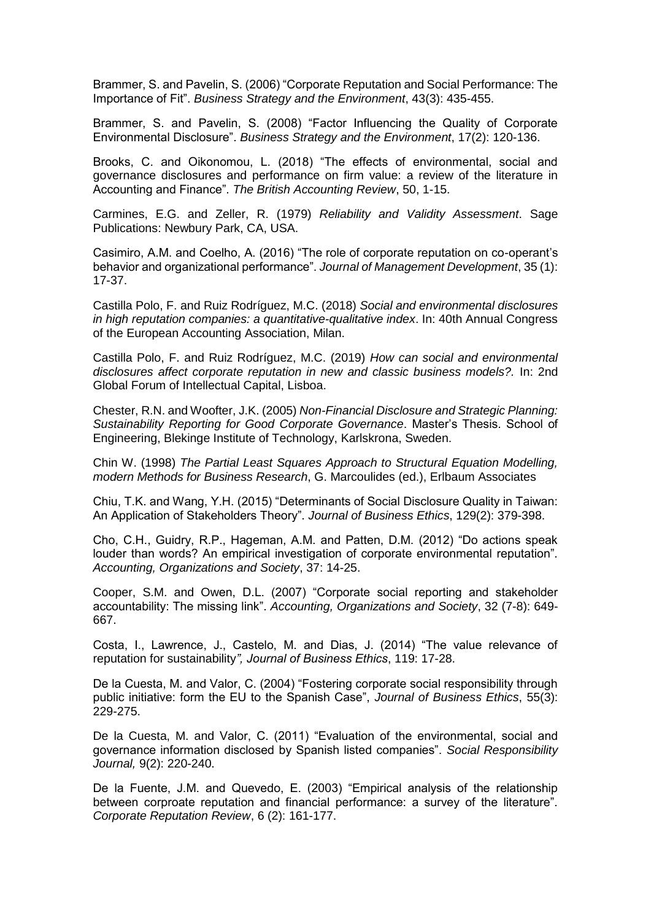Brammer, S. and Pavelin, S. (2006) "Corporate Reputation and Social Performance: The Importance of Fit". *Business Strategy and the Environment*, 43(3): 435-455.

Brammer, S. and Pavelin, S. (2008) "Factor Influencing the Quality of Corporate Environmental Disclosure". *Business Strategy and the Environment*, 17(2): 120-136.

Brooks, C. and Oikonomou, L. (2018) "The effects of environmental, social and governance disclosures and performance on firm value: a review of the literature in Accounting and Finance". *The British Accounting Review*, 50, 1-15.

Carmines, E.G. and Zeller, R. (1979) *Reliability and Validity Assessment*. Sage Publications: Newbury Park, CA, USA.

Casimiro, A.M. and Coelho, A. (2016) "The role of corporate reputation on co-operant's behavior and organizational performance". *Journal of Management Development*, 35 (1): 17-37.

Castilla Polo, F. and Ruiz Rodríguez, M.C. (2018) *Social and environmental disclosures in high reputation companies: a quantitative-qualitative index*. In: 40th Annual Congress of the European Accounting Association, Milan.

Castilla Polo, F. and Ruiz Rodríguez, M.C. (2019) *How can social and environmental disclosures affect corporate reputation in new and classic business models?.* In: 2nd Global Forum of Intellectual Capital, Lisboa.

Chester, R.N. and Woofter, J.K. (2005) *Non-Financial Disclosure and Strategic Planning: Sustainability Reporting for Good Corporate Governance*. Master's Thesis. School of Engineering, Blekinge Institute of Technology, Karlskrona, Sweden.

Chin W. (1998) *The Partial Least Squares Approach to Structural Equation Modelling, modern Methods for Business Research*, G. Marcoulides (ed.), Erlbaum Associates

Chiu, T.K. and Wang, Y.H. (2015) "Determinants of Social Disclosure Quality in Taiwan: An Application of Stakeholders Theory". *Journal of Business Ethics*, 129(2): 379-398.

Cho, C.H., Guidry, R.P., Hageman, A.M. and Patten, D.M. (2012) "Do actions speak louder than words? An empirical investigation of corporate environmental reputation". *Accounting, Organizations and Society*, 37: 14-25.

Cooper, S.M. and Owen, D.L. (2007) "Corporate social reporting and stakeholder accountability: The missing link". *Accounting, Organizations and Society*, 32 (7-8): 649- 667.

Costa, I., Lawrence, J., Castelo, M. and Dias, J. (2014) "The value relevance of reputation for sustainability*", Journal of Business Ethics*, 119: 17-28.

De la Cuesta, M. and Valor, C. (2004) "Fostering corporate social responsibility through public initiative: form the EU to the Spanish Case", *Journal of Business Ethics*, 55(3): 229-275.

De la Cuesta, M. and Valor, C. (2011) "Evaluation of the environmental, social and governance information disclosed by Spanish listed companies". *Social Responsibility Journal,* 9(2): 220-240.

De la Fuente, J.M. and Quevedo, E. (2003) "Empirical analysis of the relationship between corproate reputation and financial performance: a survey of the literature". *Corporate Reputation Review*, 6 (2): 161-177.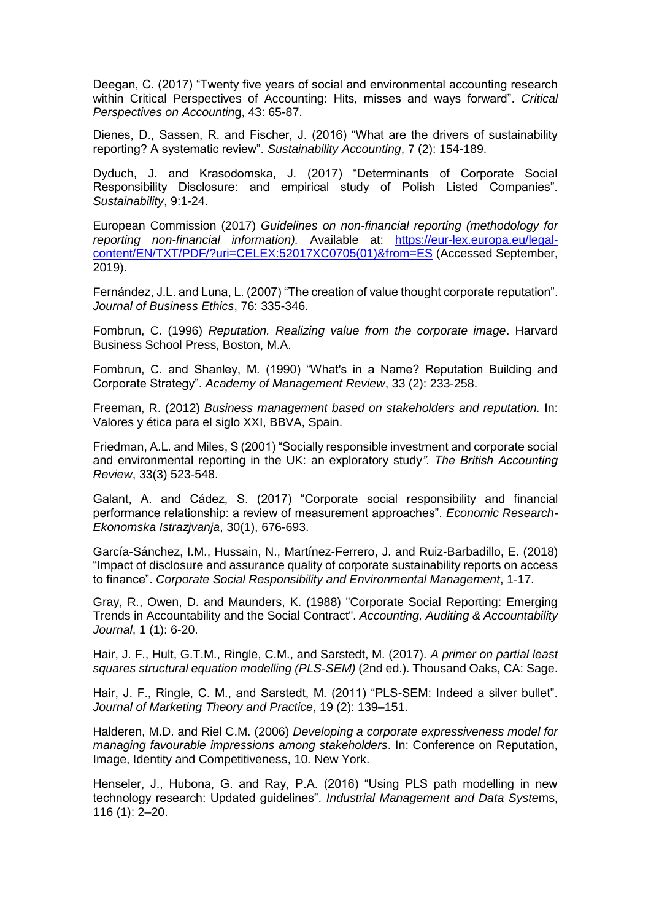Deegan, C. (2017) "Twenty five years of social and environmental accounting research within Critical Perspectives of Accounting: Hits, misses and ways forward". *Critical Perspectives on Accountin*g, 43: 65-87.

Dienes, D., Sassen, R. and Fischer, J. (2016) "What are the drivers of sustainability reporting? A systematic review". *Sustainability Accounting*, 7 (2): 154-189.

Dyduch, J. and Krasodomska, J. (2017) "Determinants of Corporate Social Responsibility Disclosure: and empirical study of Polish Listed Companies". *Sustainability*, 9:1-24.

European Commission (2017) *Guidelines on non-financial reporting (methodology for reporting non-financial information).* Available at: [https://eur-lex.europa.eu/legal](https://eur-lex.europa.eu/legal-content/EN/TXT/PDF/?uri=CELEX:52017XC0705(01)&from=ES)[content/EN/TXT/PDF/?uri=CELEX:52017XC0705\(01\)&from=ES](https://eur-lex.europa.eu/legal-content/EN/TXT/PDF/?uri=CELEX:52017XC0705(01)&from=ES) (Accessed September, 2019).

Fernández, J.L. and Luna, L. (2007) "The creation of value thought corporate reputation". *Journal of Business Ethics*, 76: 335-346.

Fombrun, C. (1996) *Reputation. Realizing value from the corporate image*. Harvard Business School Press, Boston, M.A.

Fombrun, C. and Shanley, M. (1990) "What's in a Name? Reputation Building and Corporate Strategy". *Academy of Management Review*, 33 (2): 233-258.

Freeman, R. (2012) *Business management based on stakeholders and reputation.* In: Valores y ética para el siglo XXI, BBVA, Spain.

Friedman, A.L. and Miles, S (2001) "Socially responsible investment and corporate social and environmental reporting in the UK: an exploratory study*". The British Accounting Review*, 33(3) 523-548.

Galant, A. and Cádez, S. (2017) "Corporate social responsibility and financial performance relationship: a review of measurement approaches". *Economic Research-Ekonomska Istrazjvanja*, 30(1), 676-693.

García-Sánchez, I.M., Hussain, N., Martínez-Ferrero, J. and Ruiz-Barbadillo, E. (2018) "Impact of disclosure and assurance quality of corporate sustainability reports on access to finance". *Corporate Social Responsibility and Environmental Management*, 1-17.

Gray, R., Owen, D. and Maunders, K. (1988) "Corporate Social Reporting: Emerging Trends in Accountability and the Social Contract". *Accounting, Auditing & Accountability Journal*, 1 (1): 6-20.

Hair, J. F., Hult, G.T.M., Ringle, C.M., and Sarstedt, M. (2017). *A primer on partial least squares structural equation modelling (PLS-SEM)* (2nd ed.). Thousand Oaks, CA: Sage.

Hair, J. F., Ringle, C. M., and Sarstedt, M. (2011) "PLS-SEM: Indeed a silver bullet". *Journal of Marketing Theory and Practice*, 19 (2): 139–151.

Halderen, M.D. and Riel C.M. (2006) *Developing a corporate expressiveness model for managing favourable impressions among stakeholders*. In: Conference on Reputation, Image, Identity and Competitiveness, 10. New York.

Henseler, J., Hubona, G. and Ray, P.A. (2016) "Using PLS path modelling in new technology research: Updated guidelines". *Industrial Management and Data Syste*ms, 116 (1): 2–20.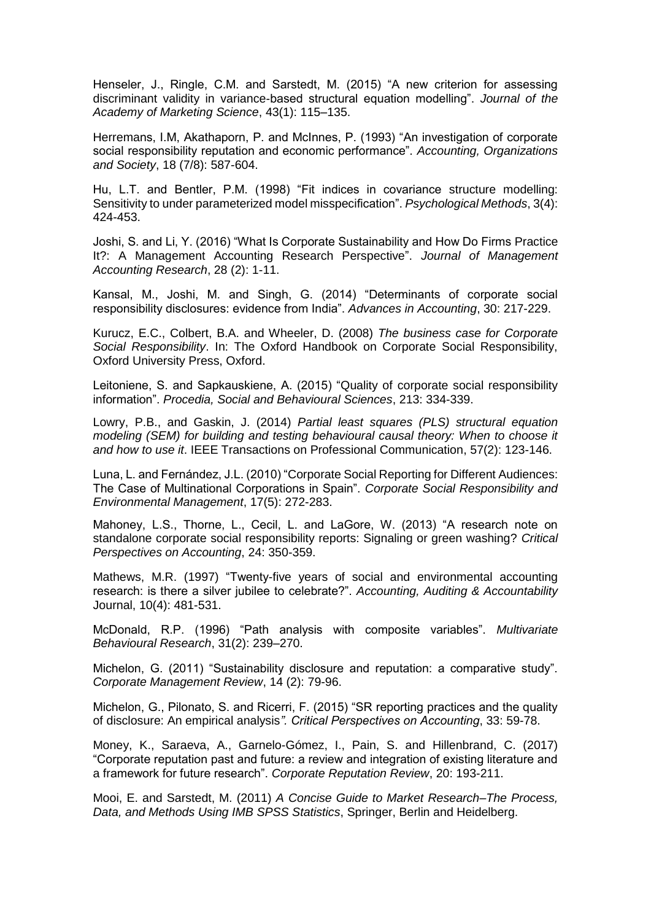Henseler, J., Ringle, C.M. and Sarstedt, M. (2015) "A new criterion for assessing discriminant validity in variance-based structural equation modelling". *Journal of the Academy of Marketing Science*, 43(1): 115–135.

Herremans, I.M, Akathaporn, P. and McInnes, P. (1993) "An investigation of corporate social responsibility reputation and economic performance". *Accounting, Organizations and Society*, 18 (7/8): 587-604.

Hu, L.T. and Bentler, P.M. (1998) "Fit indices in covariance structure modelling: Sensitivity to under parameterized model misspecification". *Psychological Methods*, 3(4): 424-453.

Joshi, S. and Li, Y. (2016) "What Is Corporate Sustainability and How Do Firms Practice It?: A Management Accounting Research Perspective". *Journal of Management Accounting Research*, 28 (2): 1-11.

Kansal, M., Joshi, M. and Singh, G. (2014) "Determinants of corporate social responsibility disclosures: evidence from India". *Advances in Accounting*, 30: 217-229.

Kurucz, E.C., Colbert, B.A. and Wheeler, D. (2008) *The business case for Corporate Social Responsibility*. In: The Oxford Handbook on Corporate Social Responsibility, Oxford University Press, Oxford.

Leitoniene, S. and Sapkauskiene, A. (2015) "Quality of corporate social responsibility information". *Procedia, Social and Behavioural Sciences*, 213: 334-339.

Lowry, P.B., and Gaskin, J. (2014) *Partial least squares (PLS) structural equation modeling (SEM) for building and testing behavioural causal theory: When to choose it and how to use it*. IEEE Transactions on Professional Communication, 57(2): 123-146.

Luna, L. and Fernández, J.L. (2010) "Corporate Social Reporting for Different Audiences: The Case of Multinational Corporations in Spain". *Corporate Social Responsibility and Environmental Management*, 17(5): 272-283.

Mahoney, L.S., Thorne, L., Cecil, L. and LaGore, W. (2013) "A research note on standalone corporate social responsibility reports: Signaling or green washing? *Critical Perspectives on Accounting*, 24: 350-359.

Mathews, M.R. (1997) "Twenty-five years of social and environmental accounting research: is there a silver jubilee to celebrate?". *Accounting, Auditing & Accountability* Journal, 10(4): 481-531.

McDonald, R.P. (1996) "Path analysis with composite variables". *Multivariate Behavioural Research*, 31(2): 239–270.

Michelon, G. (2011) "Sustainability disclosure and reputation: a comparative study". *Corporate Management Review*, 14 (2): 79-96.

Michelon, G., Pilonato, S. and Ricerri, F. (2015) "SR reporting practices and the quality of disclosure: An empirical analysis*". Critical Perspectives on Accounting*, 33: 59-78.

Money, K., Saraeva, A., Garnelo-Gómez, I., Pain, S. and Hillenbrand, C. (2017) "Corporate reputation past and future: a review and integration of existing literature and a framework for future research". *Corporate Reputation Review*, 20: 193-211.

Mooi, E. and Sarstedt, M. (2011) *A Concise Guide to Market Research–The Process, Data, and Methods Using IMB SPSS Statistics*, Springer, Berlin and Heidelberg.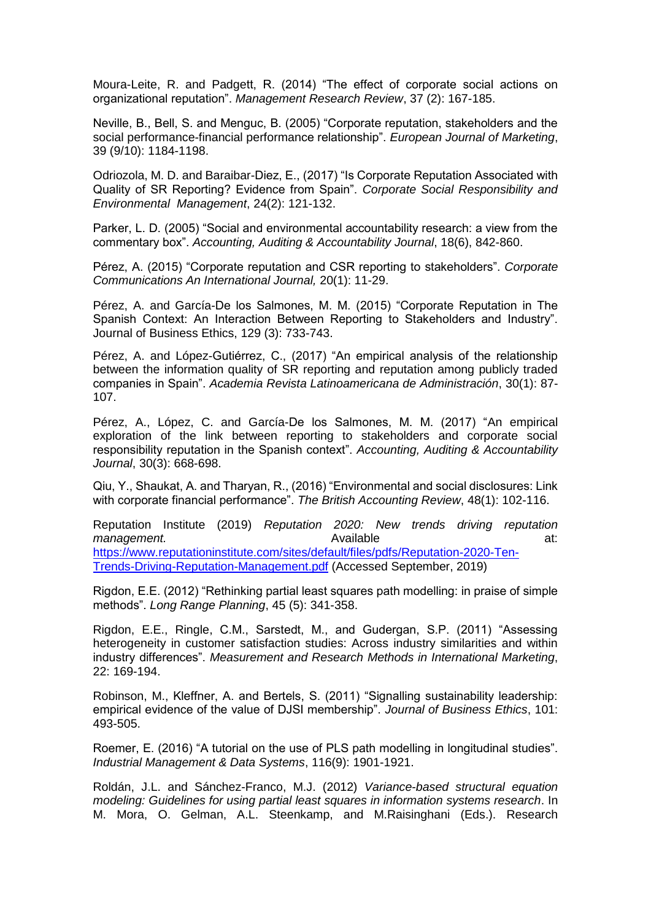Moura-Leite, R. and Padgett, R. (2014) "The effect of corporate social actions on organizational reputation". *Management Research Review*, 37 (2): 167-185.

Neville, B., Bell, S. and Menguc, B. (2005) "Corporate reputation, stakeholders and the social performance-financial performance relationship". *European Journal of Marketing*, 39 (9/10): 1184-1198.

Odriozola, M. D. and Baraibar-Diez, E., (2017) "Is Corporate Reputation Associated with Quality of SR Reporting? Evidence from Spain". *Corporate Social Responsibility and Environmental Management*, 24(2): 121-132.

Parker, L. D. (2005) "Social and environmental accountability research: a view from the commentary box". *Accounting, Auditing & Accountability Journal*, 18(6), 842-860.

Pérez, A. (2015) "Corporate reputation and CSR reporting to stakeholders". *Corporate Communications An International Journal,* 20(1): 11-29.

Pérez, A. and García-De los Salmones, M. M. (2015) "Corporate Reputation in The Spanish Context: An Interaction Between Reporting to Stakeholders and Industry". Journal of Business Ethics, 129 (3): 733-743.

Pérez, A. and López-Gutiérrez, C., (2017) "An empirical analysis of the relationship between the information quality of SR reporting and reputation among publicly traded companies in Spain". *Academia Revista Latinoamericana de Administración*, 30(1): 87- 107.

Pérez, A., López, C. and García-De los Salmones, M. M. (2017) "An empirical exploration of the link between reporting to stakeholders and corporate social responsibility reputation in the Spanish context". *Accounting, Auditing & Accountability Journal*, 30(3): 668-698.

Qiu, Y., Shaukat, A. and Tharyan, R., (2016) "Environmental and social disclosures: Link with corporate financial performance". *The British Accounting Review*, 48(1): 102-116.

Reputation Institute (2019) *Reputation 2020: New trends driving reputation*  **management.** at: **Available** at: **A** Available at: [https://www.reputationinstitute.com/sites/default/files/pdfs/Reputation-2020-Ten-](https://www.reputationinstitute.com/sites/default/files/pdfs/Reputation-2020-Ten-Trends-Driving-Reputation-Management.pdf)[Trends-Driving-Reputation-Management.pdf](https://www.reputationinstitute.com/sites/default/files/pdfs/Reputation-2020-Ten-Trends-Driving-Reputation-Management.pdf) (Accessed September, 2019)

Rigdon, E.E. (2012) "Rethinking partial least squares path modelling: in praise of simple methods". *Long Range Planning*, 45 (5): 341-358.

Rigdon, E.E., Ringle, C.M., Sarstedt, M., and Gudergan, S.P. (2011) "Assessing heterogeneity in customer satisfaction studies: Across industry similarities and within industry differences". *Measurement and Research Methods in International Marketing*, 22: 169-194.

Robinson, M., Kleffner, A. and Bertels, S. (2011) "Signalling sustainability leadership: empirical evidence of the value of DJSI membership". *Journal of Business Ethics*, 101: 493-505.

Roemer, E. (2016) "A tutorial on the use of PLS path modelling in longitudinal studies". *Industrial Management & Data Systems*, 116(9): 1901-1921.

Roldán, J.L. and Sánchez-Franco, M.J. (2012) *Variance-based structural equation modeling: Guidelines for using partial least squares in information systems research*. In M. Mora, O. Gelman, A.L. Steenkamp, and M.Raisinghani (Eds.). Research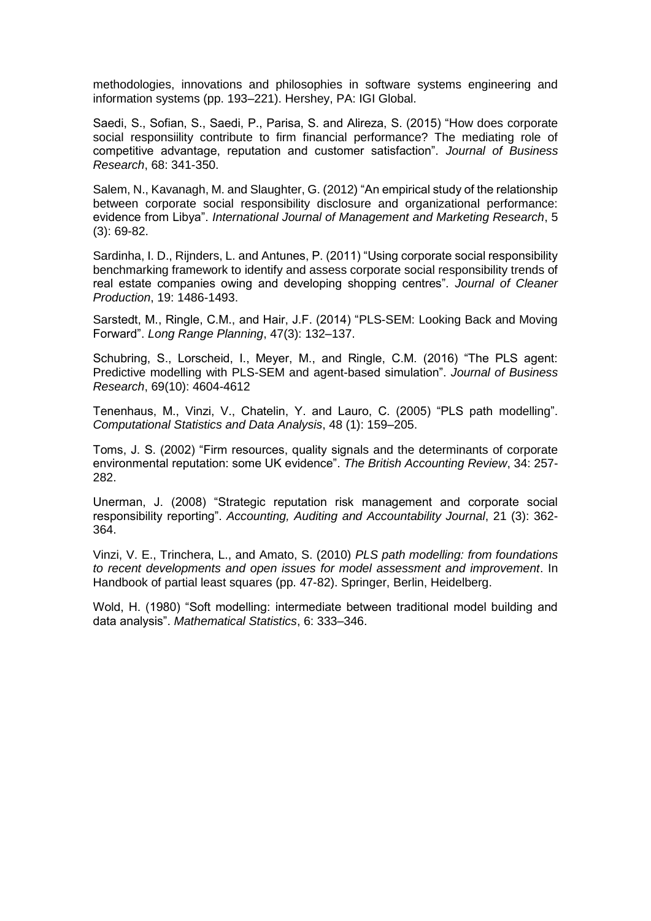methodologies, innovations and philosophies in software systems engineering and information systems (pp. 193–221). Hershey, PA: IGI Global.

Saedi, S., Sofian, S., Saedi, P., Parisa, S. and Alireza, S. (2015) "How does corporate social responsiility contribute to firm financial performance? The mediating role of competitive advantage, reputation and customer satisfaction". *Journal of Business Research*, 68: 341-350.

Salem, N., Kavanagh, M. and Slaughter, G. (2012) "An empirical study of the relationship between corporate social responsibility disclosure and organizational performance: evidence from Libya". *International Journal of Management and Marketing Research*, 5 (3): 69-82.

Sardinha, I. D., Rijnders, L. and Antunes, P. (2011) "Using corporate social responsibility benchmarking framework to identify and assess corporate social responsibility trends of real estate companies owing and developing shopping centres". *Journal of Cleaner Production*, 19: 1486-1493.

Sarstedt, M., Ringle, C.M., and Hair, J.F. (2014) "PLS-SEM: Looking Back and Moving Forward". *Long Range Planning*, 47(3): 132–137.

Schubring, S., Lorscheid, I., Meyer, M., and Ringle, C.M. (2016) "The PLS agent: Predictive modelling with PLS-SEM and agent-based simulation". *Journal of Business Research*, 69(10): 4604-4612

Tenenhaus, M., Vinzi, V., Chatelin, Y. and Lauro, C. (2005) "PLS path modelling". *Computational Statistics and Data Analysis*, 48 (1): 159–205.

Toms, J. S. (2002) "Firm resources, quality signals and the determinants of corporate environmental reputation: some UK evidence". *The British Accounting Review*, 34: 257- 282.

Unerman, J. (2008) "Strategic reputation risk management and corporate social responsibility reporting". *Accounting, Auditing and Accountability Journal*, 21 (3): 362- 364.

Vinzi, V. E., Trinchera, L., and Amato, S. (2010) *PLS path modelling: from foundations to recent developments and open issues for model assessment and improvement*. In Handbook of partial least squares (pp. 47-82). Springer, Berlin, Heidelberg.

Wold, H. (1980) "Soft modelling: intermediate between traditional model building and data analysis". *Mathematical Statistics*, 6: 333–346.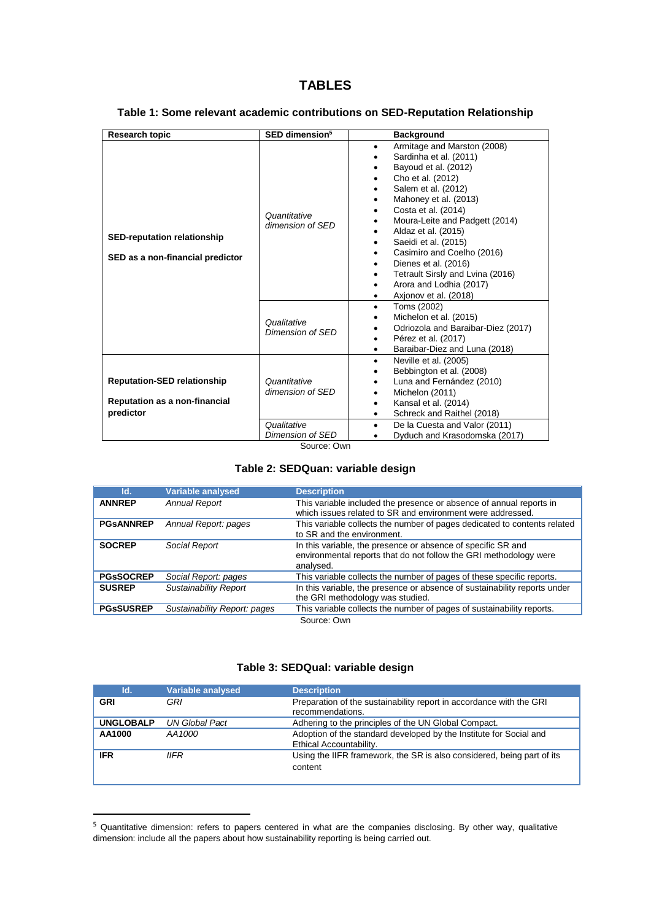# **TABLES**

| <b>Research topic</b>                                                                   | SED dimension <sup>5</sup>       | <b>Background</b>                                                                                                                                                                                                                                                                                                                                                                                                                                                           |
|-----------------------------------------------------------------------------------------|----------------------------------|-----------------------------------------------------------------------------------------------------------------------------------------------------------------------------------------------------------------------------------------------------------------------------------------------------------------------------------------------------------------------------------------------------------------------------------------------------------------------------|
| <b>SED-reputation relationship</b><br>SED as a non-financial predictor                  | Quantitative<br>dimension of SED | Armitage and Marston (2008)<br>$\bullet$<br>Sardinha et al. (2011)<br>$\bullet$<br>Bayoud et al. (2012)<br>Cho et al. (2012)<br>٠<br>Salem et al. (2012)<br>Mahoney et al. (2013)<br>$\bullet$<br>Costa et al. (2014)<br>Moura-Leite and Padgett (2014)<br>Aldaz et al. (2015)<br>Saeidi et al. (2015)<br>٠<br>Casimiro and Coelho (2016)<br>Dienes et al. (2016)<br>$\bullet$<br>Tetrault Sirsly and Lvina (2016)<br>Arora and Lodhia (2017)<br>٠<br>Axionov et al. (2018) |
|                                                                                         | Qualitative<br>Dimension of SED  | Toms (2002)<br>$\bullet$<br>Michelon et al. (2015)<br>Odriozola and Baraibar-Diez (2017)<br>Pérez et al. (2017)<br>٠<br>Baraibar-Diez and Luna (2018)<br>٠                                                                                                                                                                                                                                                                                                                  |
| <b>Reputation-SED relationship</b><br><b>Reputation as a non-financial</b><br>predictor | Quantitative<br>dimension of SED | Neville et al. (2005)<br>$\bullet$<br>Bebbington et al. (2008)<br>Luna and Fernández (2010)<br>Michelon (2011)<br>Kansal et al. (2014)<br>٠<br>Schreck and Raithel (2018)                                                                                                                                                                                                                                                                                                   |
|                                                                                         | Qualitative<br>Dimension of SED  | De la Cuesta and Valor (2011)<br>٠<br>Dyduch and Krasodomska (2017)                                                                                                                                                                                                                                                                                                                                                                                                         |

#### **Table 1: Some relevant academic contributions on SED-Reputation Relationship**

Source: Own

#### **Table 2: SEDQuan: variable design**

| Id.              | <b>Variable analysed</b>     | <b>Description</b>                                                                                                                             |
|------------------|------------------------------|------------------------------------------------------------------------------------------------------------------------------------------------|
| <b>ANNREP</b>    | <b>Annual Report</b>         | This variable included the presence or absence of annual reports in<br>which issues related to SR and environment were addressed.              |
| <b>PGSANNREP</b> | Annual Report: pages         | This variable collects the number of pages dedicated to contents related<br>to SR and the environment.                                         |
| <b>SOCREP</b>    | Social Report                | In this variable, the presence or absence of specific SR and<br>environmental reports that do not follow the GRI methodology were<br>analysed. |
| <b>PGSSOCREP</b> | Social Report: pages         | This variable collects the number of pages of these specific reports.                                                                          |
| <b>SUSREP</b>    | <b>Sustainability Report</b> | In this variable, the presence or absence of sustainability reports under<br>the GRI methodology was studied.                                  |
| <b>PGsSUSREP</b> | Sustainability Report: pages | This variable collects the number of pages of sustainability reports.                                                                          |
|                  |                              | Source: Own                                                                                                                                    |

#### **Table 3: SEDQual: variable design**

| Id.              | Variable analysed | <b>Description</b>                                                                            |
|------------------|-------------------|-----------------------------------------------------------------------------------------------|
| <b>GRI</b>       | GRI               | Preparation of the sustainability report in accordance with the GRI<br>recommendations.       |
| <b>UNGLOBALP</b> | UN Global Pact    | Adhering to the principles of the UN Global Compact.                                          |
| AA1000           | AA1000            | Adoption of the standard developed by the Institute for Social and<br>Ethical Accountability. |
| <b>IFR</b>       | <b>IIFR</b>       | Using the IIFR framework, the SR is also considered, being part of its<br>content             |

<sup>&</sup>lt;sup>5</sup> Quantitative dimension: refers to papers centered in what are the companies disclosing. By other way, qualitative dimension: include all the papers about how sustainability reporting is being carried out.

**.**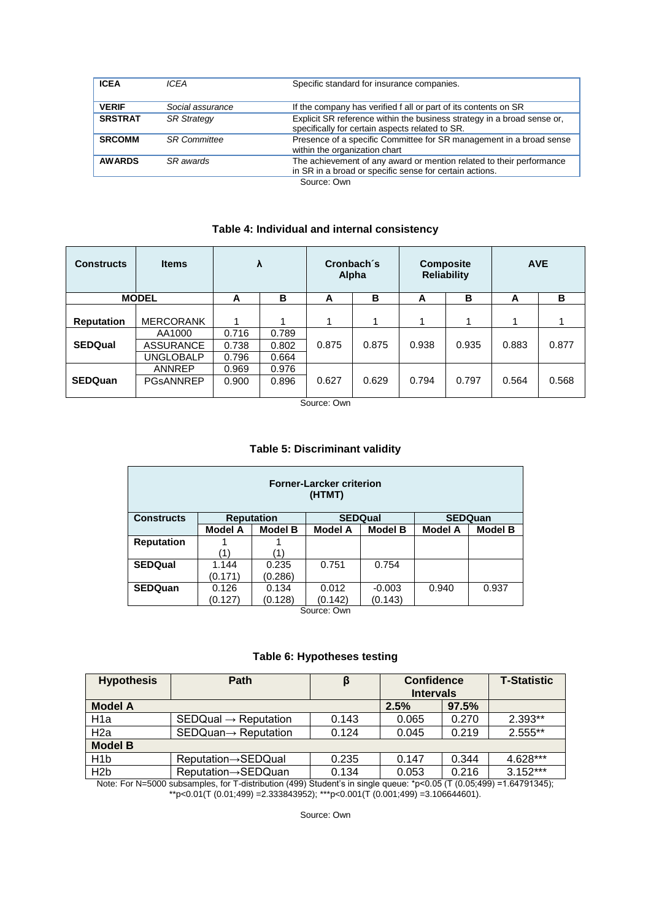| <b>ICEA</b>    | ICFA                | Specific standard for insurance companies.                                                                                      |
|----------------|---------------------|---------------------------------------------------------------------------------------------------------------------------------|
| <b>VERIF</b>   | Social assurance    | If the company has verified f all or part of its contents on SR                                                                 |
| <b>SRSTRAT</b> | <b>SR Strategy</b>  | Explicit SR reference within the business strategy in a broad sense or,<br>specifically for certain aspects related to SR.      |
| <b>SRCOMM</b>  | <b>SR</b> Committee | Presence of a specific Committee for SR management in a broad sense<br>within the organization chart                            |
| <b>AWARDS</b>  | SR awards           | The achievement of any award or mention related to their performance<br>in SR in a broad or specific sense for certain actions. |
|                |                     | $C_{\text{OUTCO}}$                                                                                                              |

Source: Own

#### **Table 4: Individual and internal consistency**

| <b>Constructs</b> | <b>Items</b>     | λ     |       | Cronbach's<br>Alpha |       | <b>Composite</b><br><b>Reliability</b> |       | <b>AVE</b> |       |
|-------------------|------------------|-------|-------|---------------------|-------|----------------------------------------|-------|------------|-------|
| <b>MODEL</b>      |                  | A     | в     | A                   | в     | А                                      | в     | A          | в     |
|                   |                  |       |       |                     |       |                                        |       |            |       |
| <b>Reputation</b> | <b>MERCORANK</b> | 1     |       |                     |       |                                        |       | 4          |       |
|                   | AA1000           | 0.716 | 0.789 |                     |       |                                        |       |            |       |
| <b>SEDQual</b>    | <b>ASSURANCE</b> | 0.738 | 0.802 | 0.875               | 0.875 | 0.938                                  | 0.935 | 0.883      | 0.877 |
|                   | <b>UNGLOBALP</b> | 0.796 | 0.664 |                     |       |                                        |       |            |       |
|                   | <b>ANNREP</b>    | 0.969 | 0.976 |                     |       |                                        |       |            |       |
| <b>SEDQuan</b>    | <b>PGSANNREP</b> | 0.900 | 0.896 | 0.627               | 0.629 | 0.794                                  | 0.797 | 0.564      | 0.568 |
|                   |                  |       |       |                     |       |                                        |       |            |       |

Source: Own

#### **Table 5: Discriminant validity**

| <b>Forner-Larcker criterion</b><br>(HTMT) |                |                   |                |                |                |                |  |
|-------------------------------------------|----------------|-------------------|----------------|----------------|----------------|----------------|--|
| <b>Constructs</b>                         |                | <b>Reputation</b> |                | <b>SEDQual</b> |                | <b>SEDQuan</b> |  |
|                                           | <b>Model A</b> | <b>Model B</b>    | <b>Model A</b> | <b>Model B</b> | <b>Model A</b> | <b>Model B</b> |  |
| <b>Reputation</b>                         |                |                   |                |                |                |                |  |
|                                           | '1)            | (1)               |                |                |                |                |  |
| <b>SEDQual</b>                            | 1.144          | 0.235             | 0.751          | 0.754          |                |                |  |
|                                           | (0.171)        | (0.286)           |                |                |                |                |  |
| <b>SEDQuan</b>                            | 0.126          | 0.134             | 0.012          | $-0.003$       | 0.940          | 0.937          |  |
|                                           | (0.127)        | (0.128)           | (0.142)        | (0.143)        |                |                |  |
| Source: Own                               |                |                   |                |                |                |                |  |

# **Table 6: Hypotheses testing**

| <b>Hypothesis</b> | Path                             | β     | <b>Confidence</b> |       | <b>T-Statistic</b> |
|-------------------|----------------------------------|-------|-------------------|-------|--------------------|
|                   |                                  |       | <b>Intervals</b>  |       |                    |
| <b>Model A</b>    |                                  |       | 2.5%              | 97.5% |                    |
| H <sub>1</sub> a  | $SEDQual \rightarrow Reputation$ | 0.143 | 0.065             | 0.270 | $2.393**$          |
| H <sub>2</sub> a  | $SEDQuan \rightarrow Reputation$ | 0.124 | 0.045             | 0.219 | $2.555**$          |
| <b>Model B</b>    |                                  |       |                   |       |                    |
| H <sub>1</sub> b  | <b>Reputation→SEDQual</b>        | 0.235 | 0.147             | 0.344 | 4.628***           |
| H <sub>2</sub> b  | Reputation→SEDQuan               | 0.134 | 0.053             | 0.216 | $3.152***$         |

Note: For N=5000 subsamples, for T-distribution (499) Student's in single queue: \*p<0.05 (T (0.05;499) =1.64791345); \*\*p<0.01(T (0.01;499) =2.333843952); \*\*\*p<0.001(T (0.001;499) =3.106644601).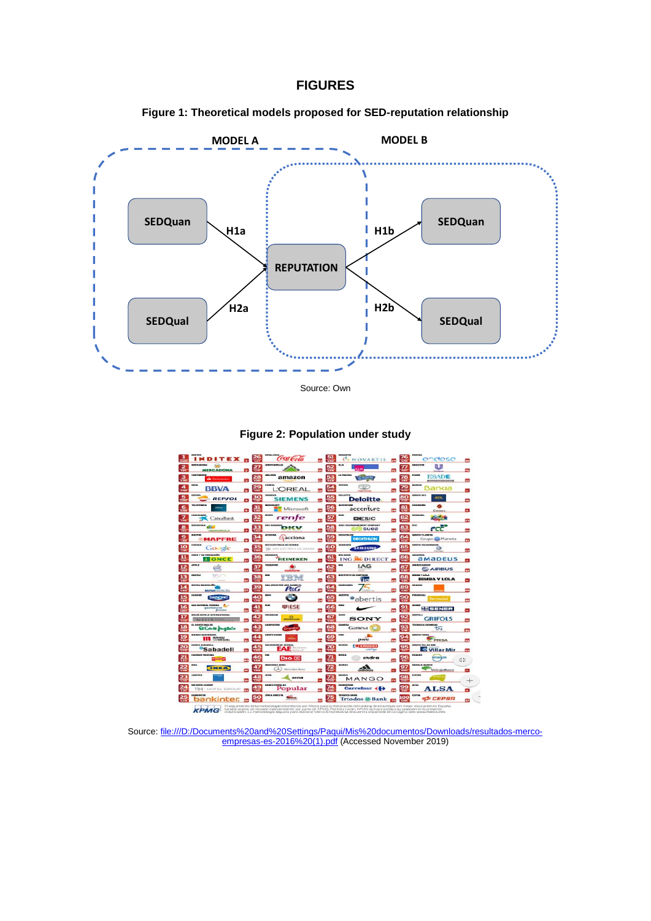#### **FIGURES**









Source: [file:///D:/Documents%20and%20Settings/Paqui/Mis%20documentos/Downloads/resultados-merco](file:///D:/Documents%20and%20Settings/Paqui/Mis%20documentos/Downloads/resultados-merco-empresas-es-2016%20(1).pdf)[empresas-es-2016%20\(1\).pdf](file:///D:/Documents%20and%20Settings/Paqui/Mis%20documentos/Downloads/resultados-merco-empresas-es-2016%20(1).pdf) (Accessed November 2019)